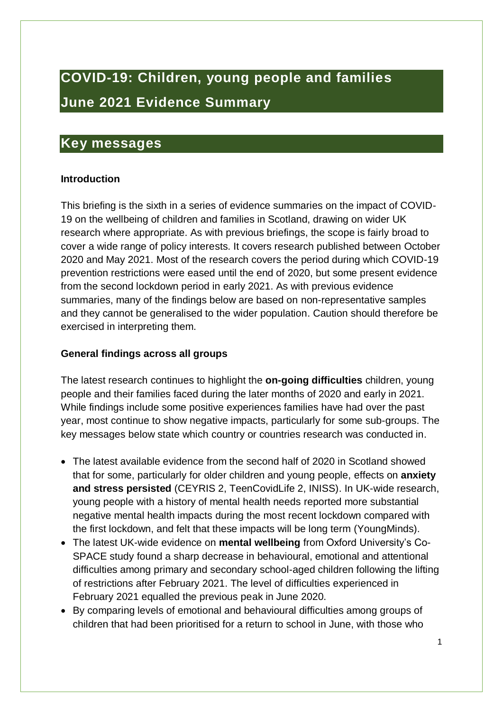# **COVID-19: Children, young people and families June 2021 Evidence Summary**

## <span id="page-0-0"></span>**Key messages**

#### **Introduction**

This briefing is the sixth in a series of evidence summaries on the impact of COVID-19 on the wellbeing of children and families in Scotland, drawing on wider UK research where appropriate. As with previous briefings, the scope is fairly broad to cover a wide range of policy interests. It covers research published between October 2020 and May 2021. Most of the research covers the period during which COVID-19 prevention restrictions were eased until the end of 2020, but some present evidence from the second lockdown period in early 2021. As with previous evidence summaries, many of the findings below are based on non-representative samples and they cannot be generalised to the wider population. Caution should therefore be exercised in interpreting them.

#### **General findings across all groups**

The latest research continues to highlight the **on-going difficulties** children, young people and their families faced during the later months of 2020 and early in 2021. While findings include some positive experiences families have had over the past year, most continue to show negative impacts, particularly for some sub-groups. The key messages below state which country or countries research was conducted in.

- The latest available evidence from the second half of 2020 in Scotland showed that for some, particularly for older children and young people, effects on **anxiety and stress persisted** (CEYRIS 2, TeenCovidLife 2, INISS). In UK-wide research, young people with a history of mental health needs reported more substantial negative mental health impacts during the most recent lockdown compared with the first lockdown, and felt that these impacts will be long term (YoungMinds).
- The latest UK-wide evidence on **mental wellbeing** from Oxford University's Co-SPACE study found a sharp decrease in behavioural, emotional and attentional difficulties among primary and secondary school-aged children following the lifting of restrictions after February 2021. The level of difficulties experienced in February 2021 equalled the previous peak in June 2020.
- By comparing levels of emotional and behavioural difficulties among groups of children that had been prioritised for a return to school in June, with those who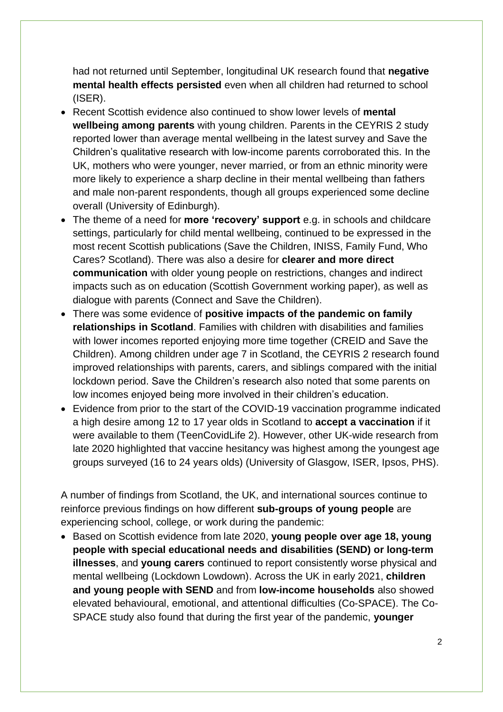had not returned until September, longitudinal UK research found that **negative mental health effects persisted** even when all children had returned to school (ISER).

- Recent Scottish evidence also continued to show lower levels of **mental wellbeing among parents** with young children. Parents in the CEYRIS 2 study reported lower than average mental wellbeing in the latest survey and Save the Children's qualitative research with low-income parents corroborated this. In the UK, mothers who were younger, never married, or from an ethnic minority were more likely to experience a sharp decline in their mental wellbeing than fathers and male non-parent respondents, though all groups experienced some decline overall (University of Edinburgh).
- The theme of a need for **more 'recovery' support** e.g. in schools and childcare settings, particularly for child mental wellbeing, continued to be expressed in the most recent Scottish publications (Save the Children, INISS, Family Fund, Who Cares? Scotland). There was also a desire for **clearer and more direct communication** with older young people on restrictions, changes and indirect impacts such as on education (Scottish Government working paper), as well as dialogue with parents (Connect and Save the Children).
- There was some evidence of **positive impacts of the pandemic on family relationships in Scotland**. Families with children with disabilities and families with lower incomes reported enjoying more time together (CREID and Save the Children). Among children under age 7 in Scotland, the CEYRIS 2 research found improved relationships with parents, carers, and siblings compared with the initial lockdown period. Save the Children's research also noted that some parents on low incomes enjoyed being more involved in their children's education.
- Evidence from prior to the start of the COVID-19 vaccination programme indicated a high desire among 12 to 17 year olds in Scotland to **accept a vaccination** if it were available to them (TeenCovidLife 2). However, other UK-wide research from late 2020 highlighted that vaccine hesitancy was highest among the youngest age groups surveyed (16 to 24 years olds) (University of Glasgow, ISER, Ipsos, PHS).

A number of findings from Scotland, the UK, and international sources continue to reinforce previous findings on how different **sub-groups of young people** are experiencing school, college, or work during the pandemic:

• Based on Scottish evidence from late 2020, **young people over age 18, young people with special educational needs and disabilities (SEND) or long-term illnesses**, and **young carers** continued to report consistently worse physical and mental wellbeing (Lockdown Lowdown). Across the UK in early 2021, **children and young people with SEND** and from **low-income households** also showed elevated behavioural, emotional, and attentional difficulties (Co-SPACE). The Co-SPACE study also found that during the first year of the pandemic, **younger**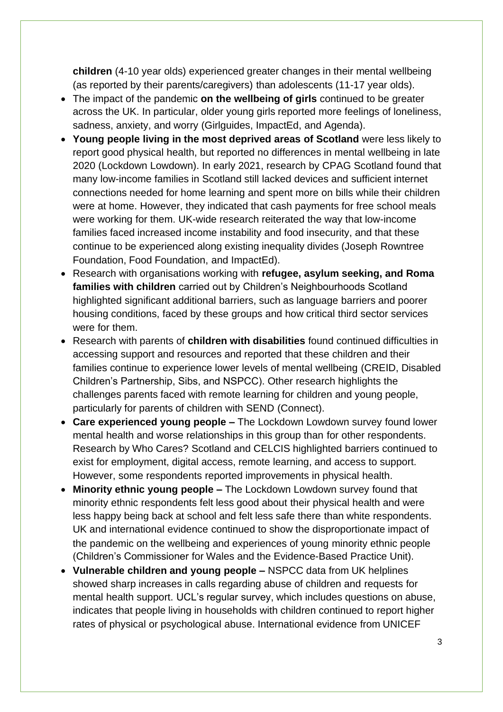**children** (4-10 year olds) experienced greater changes in their mental wellbeing (as reported by their parents/caregivers) than adolescents (11-17 year olds).

- The impact of the pandemic **on the wellbeing of girls** continued to be greater across the UK. In particular, older young girls reported more feelings of loneliness, sadness, anxiety, and worry (Girlguides, ImpactEd, and Agenda).
- **Young people living in the most deprived areas of Scotland** were less likely to report good physical health, but reported no differences in mental wellbeing in late 2020 (Lockdown Lowdown). In early 2021, research by CPAG Scotland found that many low-income families in Scotland still lacked devices and sufficient internet connections needed for home learning and spent more on bills while their children were at home. However, they indicated that cash payments for free school meals were working for them. UK-wide research reiterated the way that low-income families faced increased income instability and food insecurity, and that these continue to be experienced along existing inequality divides (Joseph Rowntree Foundation, Food Foundation, and ImpactEd).
- Research with organisations working with **refugee, asylum seeking, and Roma families with children** carried out by Children's Neighbourhoods Scotland highlighted significant additional barriers, such as language barriers and poorer housing conditions, faced by these groups and how critical third sector services were for them.
- Research with parents of **children with disabilities** found continued difficulties in accessing support and resources and reported that these children and their families continue to experience lower levels of mental wellbeing (CREID, Disabled Children's Partnership, Sibs, and NSPCC). Other research highlights the challenges parents faced with remote learning for children and young people, particularly for parents of children with SEND (Connect).
- **Care experienced young people –** The Lockdown Lowdown survey found lower mental health and worse relationships in this group than for other respondents. Research by Who Cares? Scotland and CELCIS highlighted barriers continued to exist for employment, digital access, remote learning, and access to support. However, some respondents reported improvements in physical health.
- **Minority ethnic young people –** The Lockdown Lowdown survey found that minority ethnic respondents felt less good about their physical health and were less happy being back at school and felt less safe there than white respondents. UK and international evidence continued to show the disproportionate impact of the pandemic on the wellbeing and experiences of young minority ethnic people (Children's Commissioner for Wales and the Evidence-Based Practice Unit).
- **Vulnerable children and young people –** NSPCC data from UK helplines showed sharp increases in calls regarding abuse of children and requests for mental health support. UCL's regular survey, which includes questions on abuse, indicates that people living in households with children continued to report higher rates of physical or psychological abuse. International evidence from UNICEF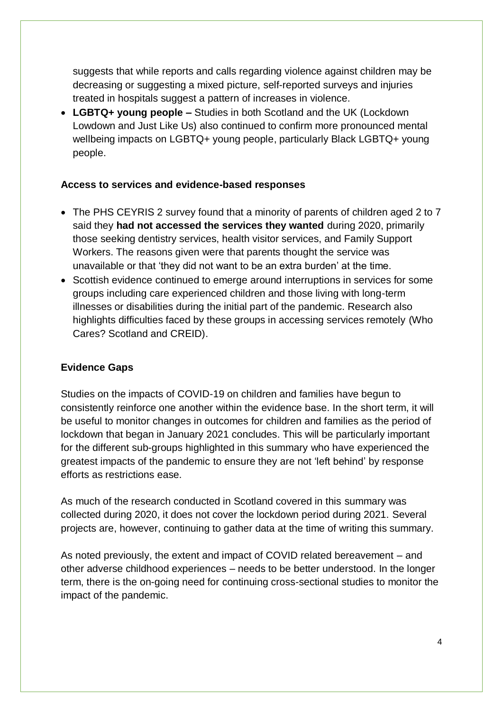suggests that while reports and calls regarding violence against children may be decreasing or suggesting a mixed picture, self-reported surveys and injuries treated in hospitals suggest a pattern of increases in violence.

• **LGBTQ+ young people –** Studies in both Scotland and the UK (Lockdown Lowdown and Just Like Us) also continued to confirm more pronounced mental wellbeing impacts on LGBTQ+ young people, particularly Black LGBTQ+ young people.

#### **Access to services and evidence-based responses**

- The PHS CEYRIS 2 survey found that a minority of parents of children aged 2 to 7 said they **had not accessed the services they wanted** during 2020, primarily those seeking dentistry services, health visitor services, and Family Support Workers. The reasons given were that parents thought the service was unavailable or that 'they did not want to be an extra burden' at the time.
- Scottish evidence continued to emerge around interruptions in services for some groups including care experienced children and those living with long-term illnesses or disabilities during the initial part of the pandemic. Research also highlights difficulties faced by these groups in accessing services remotely (Who Cares? Scotland and CREID).

#### **Evidence Gaps**

Studies on the impacts of COVID-19 on children and families have begun to consistently reinforce one another within the evidence base. In the short term, it will be useful to monitor changes in outcomes for children and families as the period of lockdown that began in January 2021 concludes. This will be particularly important for the different sub-groups highlighted in this summary who have experienced the greatest impacts of the pandemic to ensure they are not 'left behind' by response efforts as restrictions ease.

As much of the research conducted in Scotland covered in this summary was collected during 2020, it does not cover the lockdown period during 2021. Several projects are, however, continuing to gather data at the time of writing this summary.

As noted previously, the extent and impact of COVID related bereavement – and other adverse childhood experiences – needs to be better understood. In the longer term, there is the on-going need for continuing cross-sectional studies to monitor the impact of the pandemic.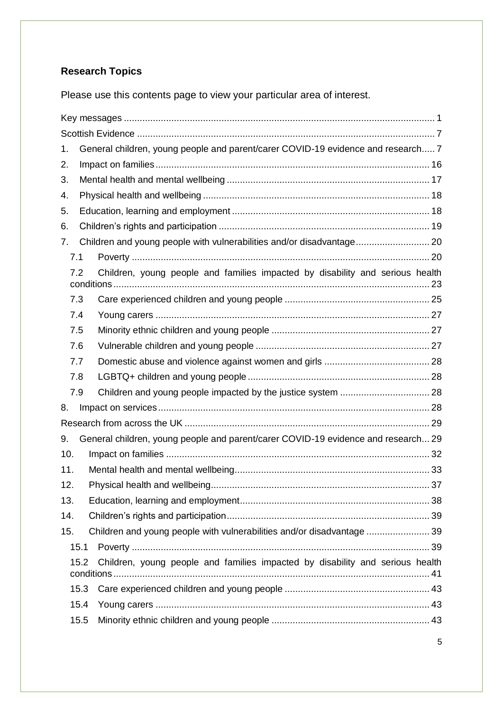## **Research Topics**

Please use this contents page to view your particular area of interest.

| 1.   | General children, young people and parent/carer COVID-19 evidence and research 7  |  |  |
|------|-----------------------------------------------------------------------------------|--|--|
| 2.   |                                                                                   |  |  |
| 3.   |                                                                                   |  |  |
| 4.   |                                                                                   |  |  |
| 5.   |                                                                                   |  |  |
| 6.   |                                                                                   |  |  |
| 7.   | Children and young people with vulnerabilities and/or disadvantage 20             |  |  |
| 7.1  |                                                                                   |  |  |
| 7.2  | Children, young people and families impacted by disability and serious health     |  |  |
| 7.3  |                                                                                   |  |  |
| 7.4  |                                                                                   |  |  |
| 7.5  |                                                                                   |  |  |
| 7.6  |                                                                                   |  |  |
| 7.7  |                                                                                   |  |  |
| 7.8  |                                                                                   |  |  |
| 7.9  |                                                                                   |  |  |
| 8.   |                                                                                   |  |  |
|      |                                                                                   |  |  |
| 9.   | General children, young people and parent/carer COVID-19 evidence and research 29 |  |  |
| 10.  |                                                                                   |  |  |
| 11.  |                                                                                   |  |  |
| 12.  |                                                                                   |  |  |
| 13.  |                                                                                   |  |  |
| 14.  |                                                                                   |  |  |
| 15.  | Children and young people with vulnerabilities and/or disadvantage  39            |  |  |
| 15.1 |                                                                                   |  |  |
| 15.2 | Children, young people and families impacted by disability and serious health     |  |  |
| 15.3 |                                                                                   |  |  |
| 15.4 |                                                                                   |  |  |
| 15.5 |                                                                                   |  |  |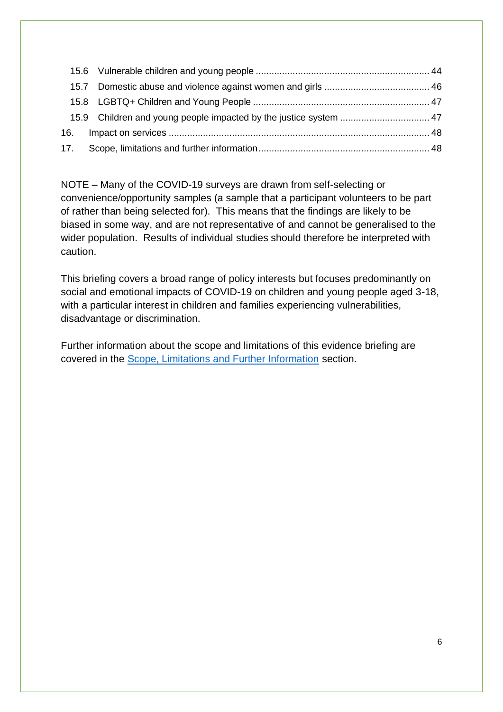NOTE – Many of the COVID-19 surveys are drawn from self-selecting or convenience/opportunity samples (a sample that a participant volunteers to be part of rather than being selected for). This means that the findings are likely to be biased in some way, and are not representative of and cannot be generalised to the wider population. Results of individual studies should therefore be interpreted with caution.

This briefing covers a broad range of policy interests but focuses predominantly on social and emotional impacts of COVID-19 on children and young people aged 3-18, with a particular interest in children and families experiencing vulnerabilities, disadvantage or discrimination.

Further information about the scope and limitations of this evidence briefing are covered in the [Scope, Limitations and Further Information](#page-47-1) section.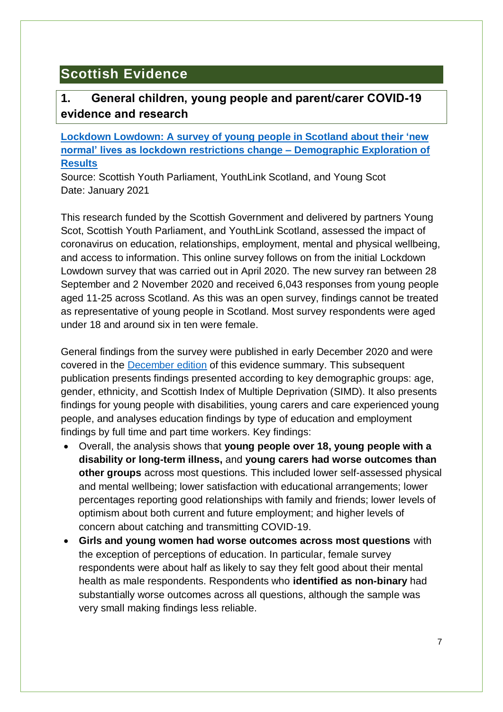## <span id="page-6-0"></span>**Scottish Evidence**

## <span id="page-6-1"></span>**1. General children, young people and parent/carer COVID-19 evidence and research**

<span id="page-6-2"></span>**Lockdown Lowdown: A [survey of young people in Scotland about their 'new](https://static1.squarespace.com/static/5cee5bd0687a1500015b5a9f/t/60362d773fa8777030b0885c/1614163321822/Jan2021-LockdownLowdown-V2-Survey-Demographic-Breakdown+%281%29.pdf)  normal' lives as lockdown restrictions change – [Demographic Exploration of](https://static1.squarespace.com/static/5cee5bd0687a1500015b5a9f/t/60362d773fa8777030b0885c/1614163321822/Jan2021-LockdownLowdown-V2-Survey-Demographic-Breakdown+%281%29.pdf)  [Results](https://static1.squarespace.com/static/5cee5bd0687a1500015b5a9f/t/60362d773fa8777030b0885c/1614163321822/Jan2021-LockdownLowdown-V2-Survey-Demographic-Breakdown+%281%29.pdf)**

Source: Scottish Youth Parliament, YouthLink Scotland, and Young Scot Date: January 2021

This research funded by the Scottish Government and delivered by partners Young Scot, Scottish Youth Parliament, and YouthLink Scotland, assessed the impact of coronavirus on education, relationships, employment, mental and physical wellbeing, and access to information. This online survey follows on from the initial Lockdown Lowdown survey that was carried out in April 2020. The new survey ran between 28 September and 2 November 2020 and received 6,043 responses from young people aged 11-25 across Scotland. As this was an open survey, findings cannot be treated as representative of young people in Scotland. Most survey respondents were aged under 18 and around six in ten were female.

General findings from the survey were published in early December 2020 and were covered in the [December edition](https://www.gov.scot/publications/covid-19-children-young-people-families-december-2020-evidence-summary/) of this evidence summary. This subsequent publication presents findings presented according to key demographic groups: age, gender, ethnicity, and Scottish Index of Multiple Deprivation (SIMD). It also presents findings for young people with disabilities, young carers and care experienced young people, and analyses education findings by type of education and employment findings by full time and part time workers. Key findings:

- Overall, the analysis shows that **young people over 18, young people with a disability or long-term illness,** and **young carers had worse outcomes than other groups** across most questions. This included lower self-assessed physical and mental wellbeing; lower satisfaction with educational arrangements; lower percentages reporting good relationships with family and friends; lower levels of optimism about both current and future employment; and higher levels of concern about catching and transmitting COVID-19.
- **Girls and young women had worse outcomes across most questions** with the exception of perceptions of education. In particular, female survey respondents were about half as likely to say they felt good about their mental health as male respondents. Respondents who **identified as non-binary** had substantially worse outcomes across all questions, although the sample was very small making findings less reliable.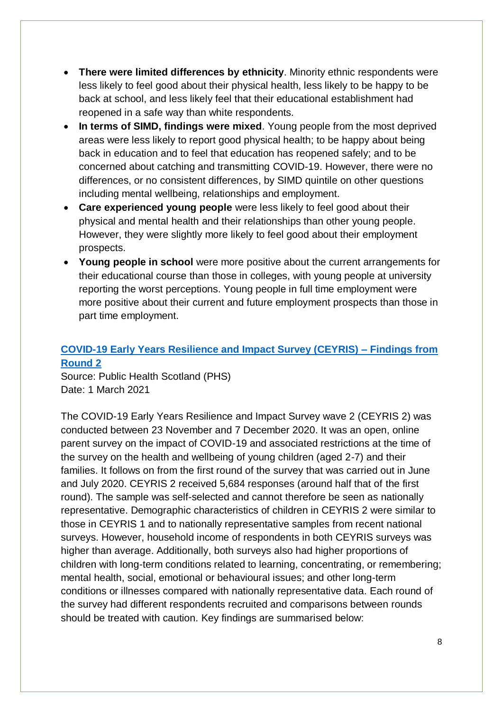- **There were limited differences by ethnicity**. Minority ethnic respondents were less likely to feel good about their physical health, less likely to be happy to be back at school, and less likely feel that their educational establishment had reopened in a safe way than white respondents.
- **In terms of SIMD, findings were mixed**. Young people from the most deprived areas were less likely to report good physical health; to be happy about being back in education and to feel that education has reopened safely; and to be concerned about catching and transmitting COVID-19. However, there were no differences, or no consistent differences, by SIMD quintile on other questions including mental wellbeing, relationships and employment.
- **Care experienced young people** were less likely to feel good about their physical and mental health and their relationships than other young people. However, they were slightly more likely to feel good about their employment prospects.
- **Young people in school** were more positive about the current arrangements for their educational course than those in colleges, with young people at university reporting the worst perceptions. Young people in full time employment were more positive about their current and future employment prospects than those in part time employment.

### <span id="page-7-0"></span>**[COVID-19 Early Years Resilience and Impact Survey \(CEYRIS\) –](https://www.publichealthscotland.scot/media/2997/ceyris-findings-from-round-2-full-report-march2021-english.pdf) Findings from [Round 2](https://www.publichealthscotland.scot/media/2997/ceyris-findings-from-round-2-full-report-march2021-english.pdf)**

Source: Public Health Scotland (PHS) Date: 1 March 2021

The COVID-19 Early Years Resilience and Impact Survey wave 2 (CEYRIS 2) was conducted between 23 November and 7 December 2020. It was an open, online parent survey on the impact of COVID-19 and associated restrictions at the time of the survey on the health and wellbeing of young children (aged 2-7) and their families. It follows on from the first round of the survey that was carried out in June and July 2020. CEYRIS 2 received 5,684 responses (around half that of the first round). The sample was self-selected and cannot therefore be seen as nationally representative. Demographic characteristics of children in CEYRIS 2 were similar to those in CEYRIS 1 and to nationally representative samples from recent national surveys. However, household income of respondents in both CEYRIS surveys was higher than average. Additionally, both surveys also had higher proportions of children with long-term conditions related to learning, concentrating, or remembering; mental health, social, emotional or behavioural issues; and other long-term conditions or illnesses compared with nationally representative data. Each round of the survey had different respondents recruited and comparisons between rounds should be treated with caution. Key findings are summarised below: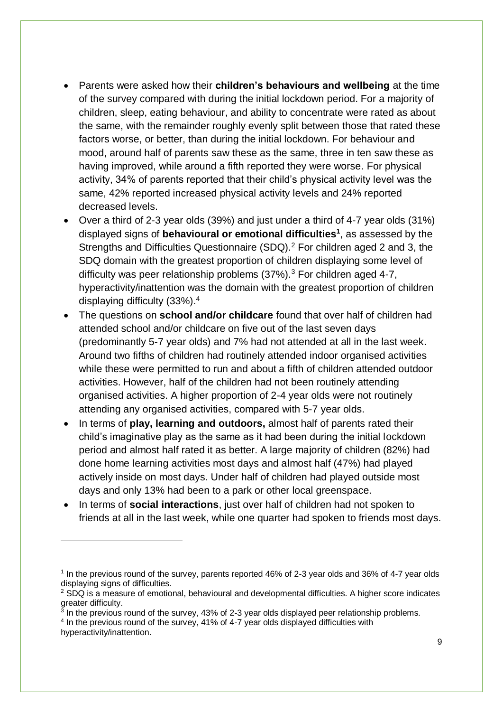- Parents were asked how their **children's behaviours and wellbeing** at the time of the survey compared with during the initial lockdown period. For a majority of children, sleep, eating behaviour, and ability to concentrate were rated as about the same, with the remainder roughly evenly split between those that rated these factors worse, or better, than during the initial lockdown. For behaviour and mood, around half of parents saw these as the same, three in ten saw these as having improved, while around a fifth reported they were worse. For physical activity, 34% of parents reported that their child's physical activity level was the same, 42% reported increased physical activity levels and 24% reported decreased levels.
- Over a third of 2-3 year olds (39%) and just under a third of 4-7 year olds (31%) displayed signs of **behavioural or emotional difficulties<sup>1</sup>** , as assessed by the Strengths and Difficulties Questionnaire (SDQ).<sup>2</sup> For children aged 2 and 3, the SDQ domain with the greatest proportion of children displaying some level of difficulty was peer relationship problems  $(37\%)$ .<sup>3</sup> For children aged 4-7, hyperactivity/inattention was the domain with the greatest proportion of children displaying difficulty (33%).<sup>4</sup>
- The questions on **school and/or childcare** found that over half of children had attended school and/or childcare on five out of the last seven days (predominantly 5-7 year olds) and 7% had not attended at all in the last week. Around two fifths of children had routinely attended indoor organised activities while these were permitted to run and about a fifth of children attended outdoor activities. However, half of the children had not been routinely attending organised activities. A higher proportion of 2-4 year olds were not routinely attending any organised activities, compared with 5-7 year olds.
- In terms of **play, learning and outdoors,** almost half of parents rated their child's imaginative play as the same as it had been during the initial lockdown period and almost half rated it as better. A large majority of children (82%) had done home learning activities most days and almost half (47%) had played actively inside on most days. Under half of children had played outside most days and only 13% had been to a park or other local greenspace.
- In terms of **social interactions**, just over half of children had not spoken to friends at all in the last week, while one quarter had spoken to friends most days.

1

<sup>&</sup>lt;sup>1</sup> In the previous round of the survey, parents reported 46% of 2-3 year olds and 36% of 4-7 year olds displaying signs of difficulties.

 $2$  SDQ is a measure of emotional, behavioural and developmental difficulties. A higher score indicates

greater difficulty.<br><sup>3</sup> In the previous round of the survey, 43% of 2-3 year olds displayed peer relationship problems. <sup>4</sup> In the previous round of the survey, 41% of 4-7 year olds displayed difficulties with

hyperactivity/inattention.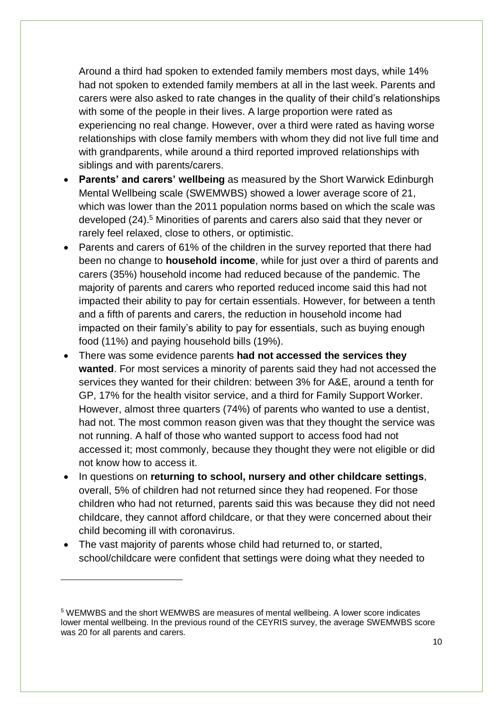Around a third had spoken to extended family members most days, while 14% had not spoken to extended family members at all in the last week. Parents and carers were also asked to rate changes in the quality of their child's relationships with some of the people in their lives. A large proportion were rated as experiencing no real change. However, over a third were rated as having worse relationships with close family members with whom they did not live full time and with grandparents, while around a third reported improved relationships with siblings and with parents/carers.

- **Parents' and carers' wellbeing** as measured by the Short Warwick Edinburgh Mental Wellbeing scale (SWEMWBS) showed a lower average score of 21, which was lower than the 2011 population norms based on which the scale was developed (24).<sup>5</sup> Minorities of parents and carers also said that they never or rarely feel relaxed, close to others, or optimistic.
- Parents and carers of 61% of the children in the survey reported that there had been no change to **household income**, while for just over a third of parents and carers (35%) household income had reduced because of the pandemic. The majority of parents and carers who reported reduced income said this had not impacted their ability to pay for certain essentials. However, for between a tenth and a fifth of parents and carers, the reduction in household income had impacted on their family's ability to pay for essentials, such as buying enough food (11%) and paying household bills (19%).
- There was some evidence parents **had not accessed the services they wanted**. For most services a minority of parents said they had not accessed the services they wanted for their children: between 3% for A&E, around a tenth for GP, 17% for the health visitor service, and a third for Family Support Worker. However, almost three quarters (74%) of parents who wanted to use a dentist, had not. The most common reason given was that they thought the service was not running. A half of those who wanted support to access food had not accessed it; most commonly, because they thought they were not eligible or did not know how to access it.
- In questions on **returning to school, nursery and other childcare settings**, overall, 5% of children had not returned since they had reopened. For those children who had not returned, parents said this was because they did not need childcare, they cannot afford childcare, or that they were concerned about their child becoming ill with coronavirus.
- The vast majority of parents whose child had returned to, or started, school/childcare were confident that settings were doing what they needed to

1

<sup>5</sup> WEMWBS and the short WEMWBS are measures of mental wellbeing. A lower score indicates lower mental wellbeing. In the previous round of the CEYRIS survey, the average SWEMWBS score was 20 for all parents and carers.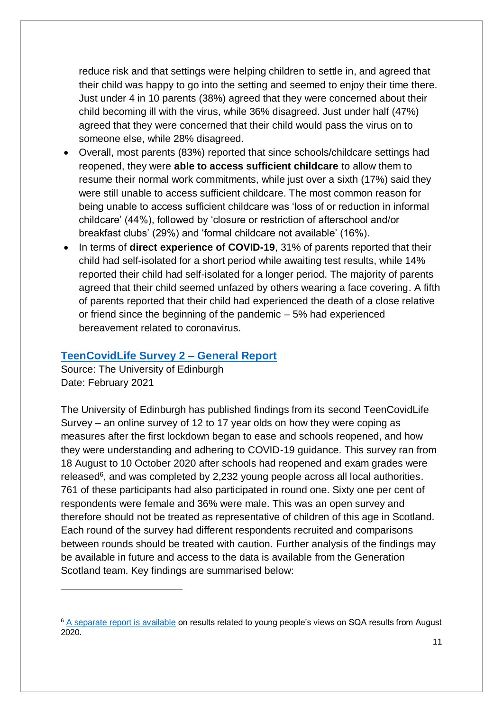reduce risk and that settings were helping children to settle in, and agreed that their child was happy to go into the setting and seemed to enjoy their time there. Just under 4 in 10 parents (38%) agreed that they were concerned about their child becoming ill with the virus, while 36% disagreed. Just under half (47%) agreed that they were concerned that their child would pass the virus on to someone else, while 28% disagreed.

- Overall, most parents (83%) reported that since schools/childcare settings had reopened, they were **able to access sufficient childcare** to allow them to resume their normal work commitments, while just over a sixth (17%) said they were still unable to access sufficient childcare. The most common reason for being unable to access sufficient childcare was 'loss of or reduction in informal childcare' (44%), followed by 'closure or restriction of afterschool and/or breakfast clubs' (29%) and 'formal childcare not available' (16%).
- In terms of **direct experience of COVID-19**, 31% of parents reported that their child had self-isolated for a short period while awaiting test results, while 14% reported their child had self-isolated for a longer period. The majority of parents agreed that their child seemed unfazed by others wearing a face covering. A fifth of parents reported that their child had experienced the death of a close relative or friend since the beginning of the pandemic – 5% had experienced bereavement related to coronavirus.

#### <span id="page-10-0"></span>**[TeenCovidLife Survey 2 –](https://www.ed.ac.uk/files/atoms/files/2021-02-01_teencovidlife2_general_report_v1.pdf) General Report**

Source: The University of Edinburgh Date: February 2021

1

The University of Edinburgh has published findings from its second TeenCovidLife Survey – an online survey of 12 to 17 year olds on how they were coping as measures after the first lockdown began to ease and schools reopened, and how they were understanding and adhering to COVID-19 guidance. This survey ran from 18 August to 10 October 2020 after schools had reopened and exam grades were released<sup>6</sup>, and was completed by 2,232 young people across all local authorities. 761 of these participants had also participated in round one. Sixty one per cent of respondents were female and 36% were male. This was an open survey and therefore should not be treated as representative of children of this age in Scotland. Each round of the survey had different respondents recruited and comparisons between rounds should be treated with caution. Further analysis of the findings may be available in future and access to the data is available from the Generation Scotland team. Key findings are summarised below:

<sup>&</sup>lt;sup>6</sup> [A separate report is available](https://www.ed.ac.uk/files/atoms/files/2021-02-01_teencovidlife2_exams_report_v1.pdf) on results related to young people's views on SQA results from August 2020.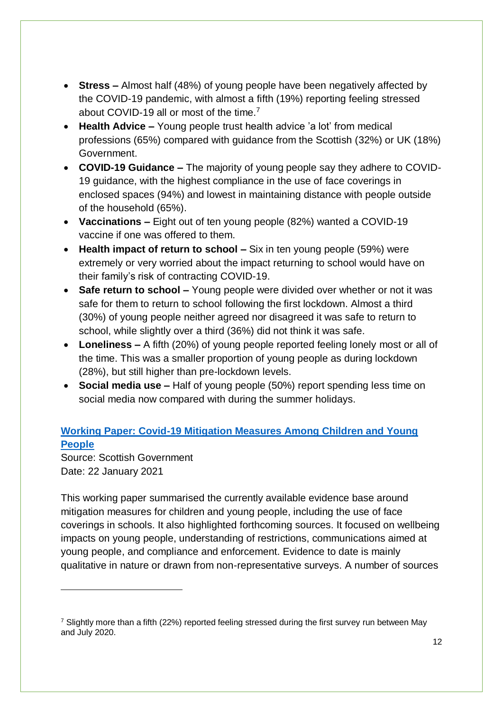- **Stress –** Almost half (48%) of young people have been negatively affected by the COVID-19 pandemic, with almost a fifth (19%) reporting feeling stressed about COVID-19 all or most of the time.<sup>7</sup>
- **Health Advice –** Young people trust health advice 'a lot' from medical professions (65%) compared with guidance from the Scottish (32%) or UK (18%) Government.
- **COVID-19 Guidance –** The majority of young people say they adhere to COVID-19 guidance, with the highest compliance in the use of face coverings in enclosed spaces (94%) and lowest in maintaining distance with people outside of the household (65%).
- **Vaccinations –** Eight out of ten young people (82%) wanted a COVID-19 vaccine if one was offered to them.
- **Health impact of return to school –** Six in ten young people (59%) were extremely or very worried about the impact returning to school would have on their family's risk of contracting COVID-19.
- **Safe return to school –** Young people were divided over whether or not it was safe for them to return to school following the first lockdown. Almost a third (30%) of young people neither agreed nor disagreed it was safe to return to school, while slightly over a third (36%) did not think it was safe.
- **Loneliness –** A fifth (20%) of young people reported feeling lonely most or all of the time. This was a smaller proportion of young people as during lockdown (28%), but still higher than pre-lockdown levels.
- **Social media use –** Half of young people (50%) report spending less time on social media now compared with during the summer holidays.

## **[Working Paper: Covid-19 Mitigation Measures Among Children and Young](https://www.gov.scot/publications/working-paper-covid-19-mitigation-measures-children-young-people/)  [People](https://www.gov.scot/publications/working-paper-covid-19-mitigation-measures-children-young-people/)**

Source: Scottish Government Date: 22 January 2021

1

This working paper summarised the currently available evidence base around mitigation measures for children and young people, including the use of face coverings in schools. It also highlighted forthcoming sources. It focused on wellbeing impacts on young people, understanding of restrictions, communications aimed at young people, and compliance and enforcement. Evidence to date is mainly qualitative in nature or drawn from non-representative surveys. A number of sources

 $\frac{7}{1}$  Slightly more than a fifth (22%) reported feeling stressed during the first survey run between May and July 2020.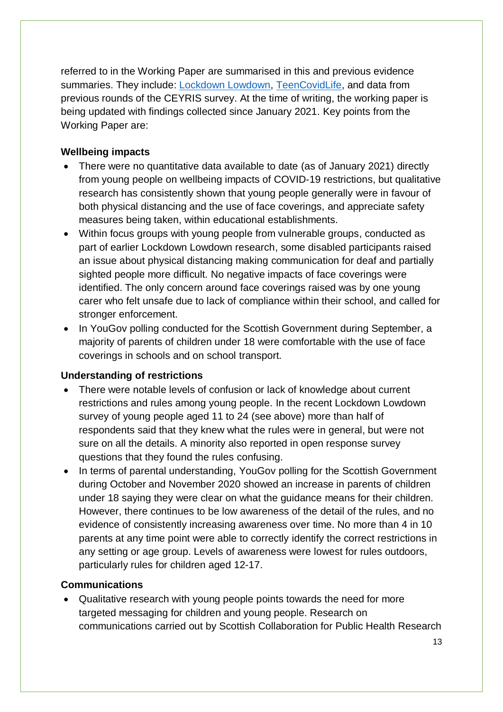referred to in the Working Paper are summarised in this and previous evidence summaries. They include: [Lockdown Lowdown,](#page-6-2) [TeenCovidLife,](#page-10-0) and data from previous rounds of the CEYRIS survey. At the time of writing, the working paper is being updated with findings collected since January 2021. Key points from the Working Paper are:

#### **Wellbeing impacts**

- There were no quantitative data available to date (as of January 2021) directly from young people on wellbeing impacts of COVID-19 restrictions, but qualitative research has consistently shown that young people generally were in favour of both physical distancing and the use of face coverings, and appreciate safety measures being taken, within educational establishments.
- Within focus groups with young people from vulnerable groups, conducted as part of earlier Lockdown Lowdown research, some disabled participants raised an issue about physical distancing making communication for deaf and partially sighted people more difficult. No negative impacts of face coverings were identified. The only concern around face coverings raised was by one young carer who felt unsafe due to lack of compliance within their school, and called for stronger enforcement.
- In YouGov polling conducted for the Scottish Government during September, a majority of parents of children under 18 were comfortable with the use of face coverings in schools and on school transport.

#### **Understanding of restrictions**

- There were notable levels of confusion or lack of knowledge about current restrictions and rules among young people. In the recent Lockdown Lowdown survey of young people aged 11 to 24 (see above) more than half of respondents said that they knew what the rules were in general, but were not sure on all the details. A minority also reported in open response survey questions that they found the rules confusing.
- In terms of parental understanding, YouGov polling for the Scottish Government during October and November 2020 showed an increase in parents of children under 18 saying they were clear on what the guidance means for their children. However, there continues to be low awareness of the detail of the rules, and no evidence of consistently increasing awareness over time. No more than 4 in 10 parents at any time point were able to correctly identify the correct restrictions in any setting or age group. Levels of awareness were lowest for rules outdoors, particularly rules for children aged 12-17.

#### **Communications**

• Qualitative research with young people points towards the need for more targeted messaging for children and young people. Research on communications carried out by Scottish Collaboration for Public Health Research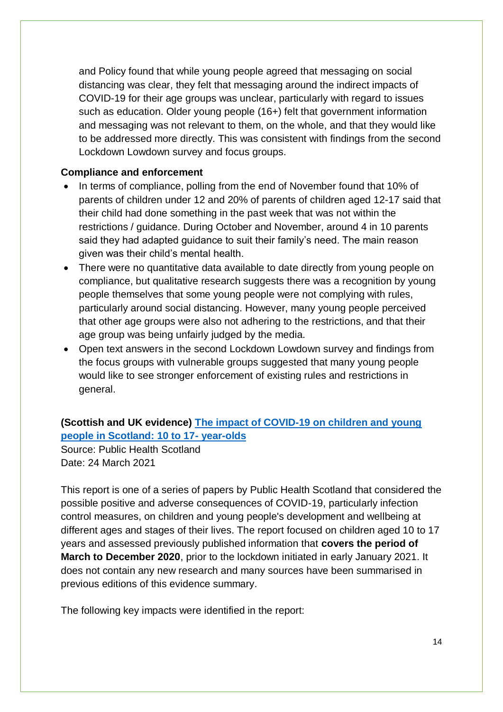and Policy found that while young people agreed that messaging on social distancing was clear, they felt that messaging around the indirect impacts of COVID-19 for their age groups was unclear, particularly with regard to issues such as education. Older young people (16+) felt that government information and messaging was not relevant to them, on the whole, and that they would like to be addressed more directly. This was consistent with findings from the second Lockdown Lowdown survey and focus groups.

#### **Compliance and enforcement**

- In terms of compliance, polling from the end of November found that 10% of parents of children under 12 and 20% of parents of children aged 12-17 said that their child had done something in the past week that was not within the restrictions / guidance. During October and November, around 4 in 10 parents said they had adapted guidance to suit their family's need. The main reason given was their child's mental health.
- There were no quantitative data available to date directly from young people on compliance, but qualitative research suggests there was a recognition by young people themselves that some young people were not complying with rules, particularly around social distancing. However, many young people perceived that other age groups were also not adhering to the restrictions, and that their age group was being unfairly judged by the media.
- Open text answers in the second Lockdown Lowdown survey and findings from the focus groups with vulnerable groups suggested that many young people would like to see stronger enforcement of existing rules and restrictions in general.

#### **(Scottish and UK evidence) [The impact of COVID-19 on children and young](https://www.publichealthscotland.scot/downloads/the-impact-of-covid-19-on-children-and-young-people-10-to-17-year-olds/)  [people in Scotland: 10 to 17-](https://www.publichealthscotland.scot/downloads/the-impact-of-covid-19-on-children-and-young-people-10-to-17-year-olds/) year-olds**

Source: Public Health Scotland Date: 24 March 2021

This report is one of a series of papers by Public Health Scotland that considered the possible positive and adverse consequences of COVID-19, particularly infection control measures, on children and young people's development and wellbeing at different ages and stages of their lives. The report focused on children aged 10 to 17 years and assessed previously published information that **covers the period of March to December 2020**, prior to the lockdown initiated in early January 2021. It does not contain any new research and many sources have been summarised in previous editions of this evidence summary.

The following key impacts were identified in the report: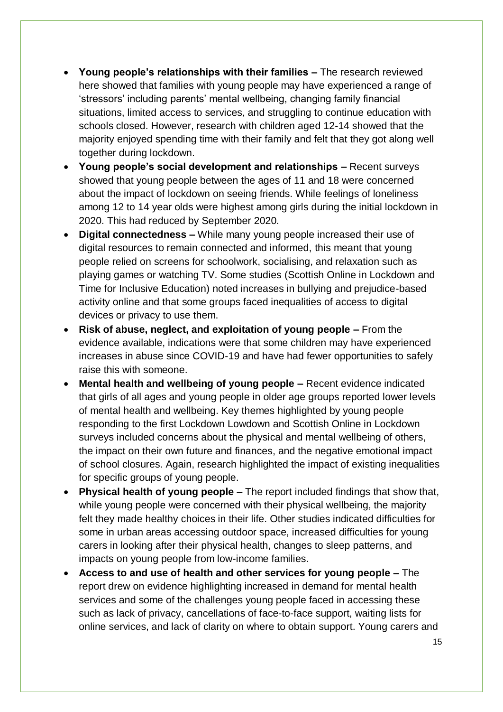- **Young people's relationships with their families –** The research reviewed here showed that families with young people may have experienced a range of 'stressors' including parents' mental wellbeing, changing family financial situations, limited access to services, and struggling to continue education with schools closed. However, research with children aged 12-14 showed that the majority enjoyed spending time with their family and felt that they got along well together during lockdown.
- **Young people's social development and relationships –** Recent surveys showed that young people between the ages of 11 and 18 were concerned about the impact of lockdown on seeing friends. While feelings of loneliness among 12 to 14 year olds were highest among girls during the initial lockdown in 2020. This had reduced by September 2020.
- **Digital connectedness –** While many young people increased their use of digital resources to remain connected and informed, this meant that young people relied on screens for schoolwork, socialising, and relaxation such as playing games or watching TV. Some studies (Scottish Online in Lockdown and Time for Inclusive Education) noted increases in bullying and prejudice-based activity online and that some groups faced inequalities of access to digital devices or privacy to use them.
- **Risk of abuse, neglect, and exploitation of young people –** From the evidence available, indications were that some children may have experienced increases in abuse since COVID-19 and have had fewer opportunities to safely raise this with someone.
- **Mental health and wellbeing of young people –** Recent evidence indicated that girls of all ages and young people in older age groups reported lower levels of mental health and wellbeing. Key themes highlighted by young people responding to the first Lockdown Lowdown and Scottish Online in Lockdown surveys included concerns about the physical and mental wellbeing of others, the impact on their own future and finances, and the negative emotional impact of school closures. Again, research highlighted the impact of existing inequalities for specific groups of young people.
- **Physical health of young people –** The report included findings that show that, while young people were concerned with their physical wellbeing, the majority felt they made healthy choices in their life. Other studies indicated difficulties for some in urban areas accessing outdoor space, increased difficulties for young carers in looking after their physical health, changes to sleep patterns, and impacts on young people from low-income families.
- **Access to and use of health and other services for young people –** The report drew on evidence highlighting increased in demand for mental health services and some of the challenges young people faced in accessing these such as lack of privacy, cancellations of face-to-face support, waiting lists for online services, and lack of clarity on where to obtain support. Young carers and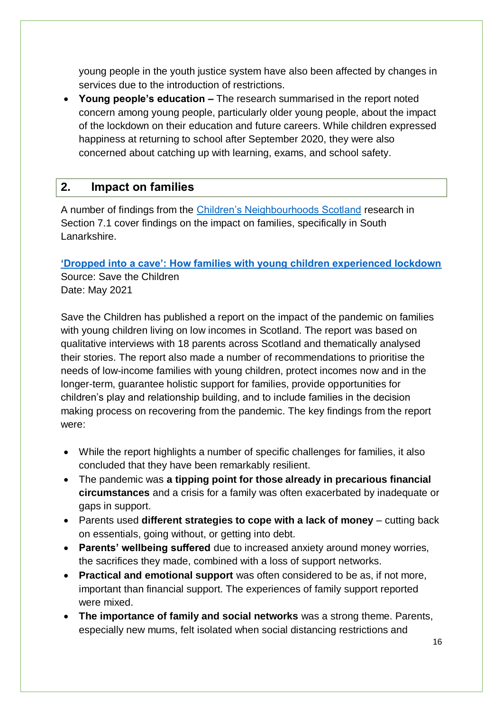young people in the youth justice system have also been affected by changes in services due to the introduction of restrictions.

• **Young people's education –** The research summarised in the report noted concern among young people, particularly older young people, about the impact of the lockdown on their education and future careers. While children expressed happiness at returning to school after September 2020, they were also concerned about catching up with learning, exams, and school safety.

#### <span id="page-15-0"></span>**2. Impact on families**

A number of findings from the [Children's Neighbourhoods Scotland](#page-21-0) research in Section 7.1 cover findings on the impact on families, specifically in South Lanarkshire.

#### <span id="page-15-1"></span>**['Dropped into a cave': How families with young children experienced lockdown](https://www.savethechildren.org.uk/content/dam/gb/reports/dropped-into-a-cave-compressed.pdf)**

Source: Save the Children Date: May 2021

Save the Children has published a report on the impact of the pandemic on families with young children living on low incomes in Scotland. The report was based on qualitative interviews with 18 parents across Scotland and thematically analysed their stories. The report also made a number of recommendations to prioritise the needs of low-income families with young children, protect incomes now and in the longer-term, guarantee holistic support for families, provide opportunities for children's play and relationship building, and to include families in the decision making process on recovering from the pandemic. The key findings from the report were:

- While the report highlights a number of specific challenges for families, it also concluded that they have been remarkably resilient.
- The pandemic was **a tipping point for those already in precarious financial circumstances** and a crisis for a family was often exacerbated by inadequate or gaps in support.
- Parents used **different strategies to cope with a lack of money** cutting back on essentials, going without, or getting into debt.
- **Parents' wellbeing suffered** due to increased anxiety around money worries, the sacrifices they made, combined with a loss of support networks.
- **Practical and emotional support** was often considered to be as, if not more, important than financial support. The experiences of family support reported were mixed.
- **The importance of family and social networks** was a strong theme. Parents, especially new mums, felt isolated when social distancing restrictions and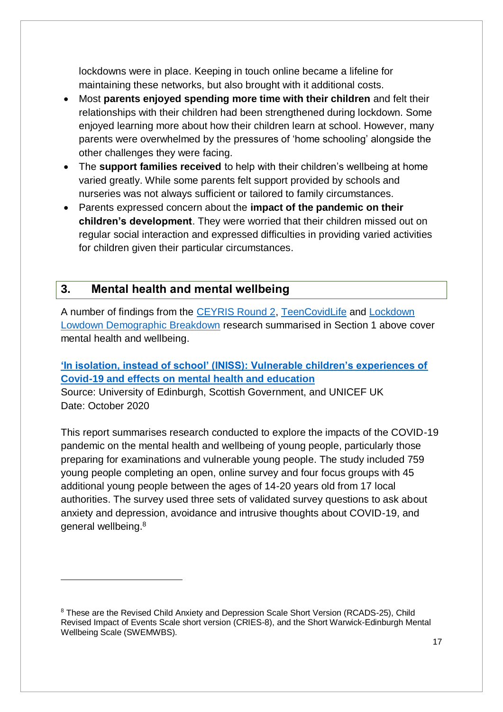lockdowns were in place. Keeping in touch online became a lifeline for maintaining these networks, but also brought with it additional costs.

- Most **parents enjoyed spending more time with their children** and felt their relationships with their children had been strengthened during lockdown. Some enjoyed learning more about how their children learn at school. However, many parents were overwhelmed by the pressures of 'home schooling' alongside the other challenges they were facing.
- The **support families received** to help with their children's wellbeing at home varied greatly. While some parents felt support provided by schools and nurseries was not always sufficient or tailored to family circumstances.
- Parents expressed concern about the **impact of the pandemic on their children's development**. They were worried that their children missed out on regular social interaction and expressed difficulties in providing varied activities for children given their particular circumstances.

## <span id="page-16-0"></span>**3. Mental health and mental wellbeing**

1

A number of findings from the [CEYRIS Round 2,](#page-7-0) [TeenCovidLife](#page-10-0) and [Lockdown](#page-6-2)  [Lowdown Demographic Breakdown](#page-6-2) research summarised in Section 1 above cover mental health and wellbeing.

#### **['In isolation, instead of school' \(INISS\): Vulnerable children's experiences of](https://www.cso.scot.nhs.uk/wp-content/uploads/COVEDI2016-1.pdf)  [Covid-19 and effects on mental health and education](https://www.cso.scot.nhs.uk/wp-content/uploads/COVEDI2016-1.pdf)**

Source: University of Edinburgh, Scottish Government, and UNICEF UK Date: October 2020

This report summarises research conducted to explore the impacts of the COVID-19 pandemic on the mental health and wellbeing of young people, particularly those preparing for examinations and vulnerable young people. The study included 759 young people completing an open, online survey and four focus groups with 45 additional young people between the ages of 14-20 years old from 17 local authorities. The survey used three sets of validated survey questions to ask about anxiety and depression, avoidance and intrusive thoughts about COVID-19, and general wellbeing.<sup>8</sup>

<sup>8</sup> These are the Revised Child Anxiety and Depression Scale Short Version (RCADS-25), Child Revised Impact of Events Scale short version (CRIES-8), and the Short Warwick-Edinburgh Mental Wellbeing Scale (SWEMWBS).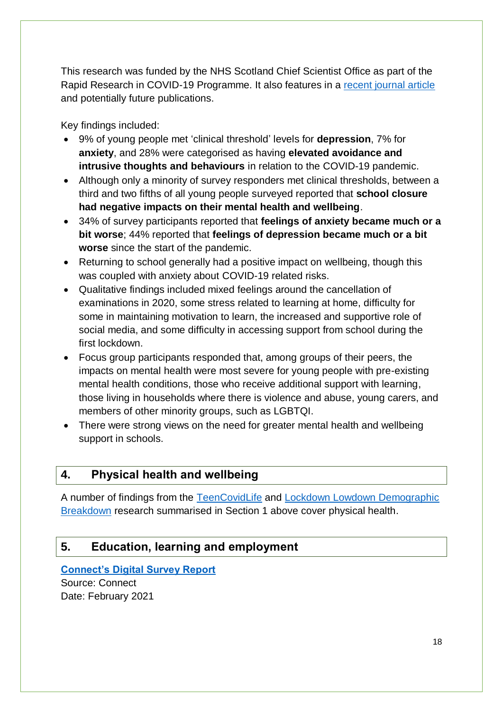This research was funded by the NHS Scotland Chief Scientist Office as part of the Rapid Research in COVID-19 Programme. It also features in a [recent journal article](https://www.tandfonline.com/doi/full/10.1080/13632752.2021.1903182) and potentially future publications.

Key findings included:

- 9% of young people met 'clinical threshold' levels for **depression**, 7% for **anxiety**, and 28% were categorised as having **elevated avoidance and intrusive thoughts and behaviours** in relation to the COVID-19 pandemic.
- Although only a minority of survey responders met clinical thresholds, between a third and two fifths of all young people surveyed reported that **school closure had negative impacts on their mental health and wellbeing**.
- 34% of survey participants reported that **feelings of anxiety became much or a bit worse**; 44% reported that **feelings of depression became much or a bit worse** since the start of the pandemic.
- Returning to school generally had a positive impact on wellbeing, though this was coupled with anxiety about COVID-19 related risks.
- Qualitative findings included mixed feelings around the cancellation of examinations in 2020, some stress related to learning at home, difficulty for some in maintaining motivation to learn, the increased and supportive role of social media, and some difficulty in accessing support from school during the first lockdown.
- Focus group participants responded that, among groups of their peers, the impacts on mental health were most severe for young people with pre-existing mental health conditions, those who receive additional support with learning, those living in households where there is violence and abuse, young carers, and members of other minority groups, such as LGBTQI.
- There were strong views on the need for greater mental health and wellbeing support in schools.

## <span id="page-17-0"></span>**4. Physical health and wellbeing**

A number of findings from the [TeenCovidLife](#page-10-0) and [Lockdown Lowdown Demographic](#page-6-2)  [Breakdown](#page-6-2) research summarised in Section 1 above cover physical health.

## <span id="page-17-1"></span>**5. Education, learning and employment**

**[Connect's Digital Survey Report](https://connect.scot/application/files/1716/1306/0819/Digital_Survey_Report_Feb_21.pdf)** 

Source: Connect Date: February 2021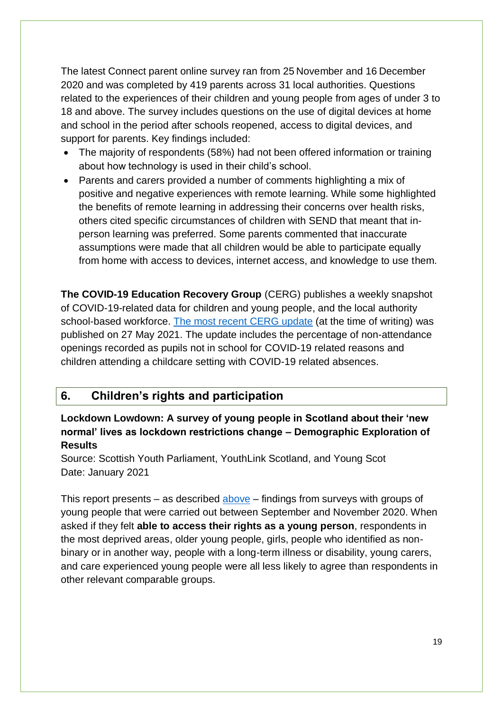The latest Connect parent online survey ran from 25 November and 16 December 2020 and was completed by 419 parents across 31 local authorities. Questions related to the experiences of their children and young people from ages of under 3 to 18 and above. The survey includes questions on the use of digital devices at home and school in the period after schools reopened, access to digital devices, and support for parents. Key findings included:

- The majority of respondents (58%) had not been offered information or training about how technology is used in their child's school.
- Parents and carers provided a number of comments highlighting a mix of positive and negative experiences with remote learning. While some highlighted the benefits of remote learning in addressing their concerns over health risks, others cited specific circumstances of children with SEND that meant that inperson learning was preferred. Some parents commented that inaccurate assumptions were made that all children would be able to participate equally from home with access to devices, internet access, and knowledge to use them.

**The COVID-19 Education Recovery Group** (CERG) publishes a weekly snapshot of COVID-19-related data for children and young people, and the local authority school-based workforce. [The most recent CERG update](https://www.gov.scot/publications/covid-19-education-recovery-group-children-and-young-people-infographic/#history) (at the time of writing) was published on 27 May 2021. The update includes the percentage of non-attendance openings recorded as pupils not in school for COVID-19 related reasons and children attending a childcare setting with COVID-19 related absences.

#### <span id="page-18-0"></span>**6. Children's rights and participation**

**Lockdown Lowdown: A survey of young people in Scotland about their 'new normal' lives as lockdown restrictions change – Demographic Exploration of Results**

Source: Scottish Youth Parliament, YouthLink Scotland, and Young Scot Date: January 2021

This report presents – as described  $above - findings$  from surveys with groups of young people that were carried out between September and November 2020. When asked if they felt **able to access their rights as a young person**, respondents in the most deprived areas, older young people, girls, people who identified as nonbinary or in another way, people with a long-term illness or disability, young carers, and care experienced young people were all less likely to agree than respondents in other relevant comparable groups.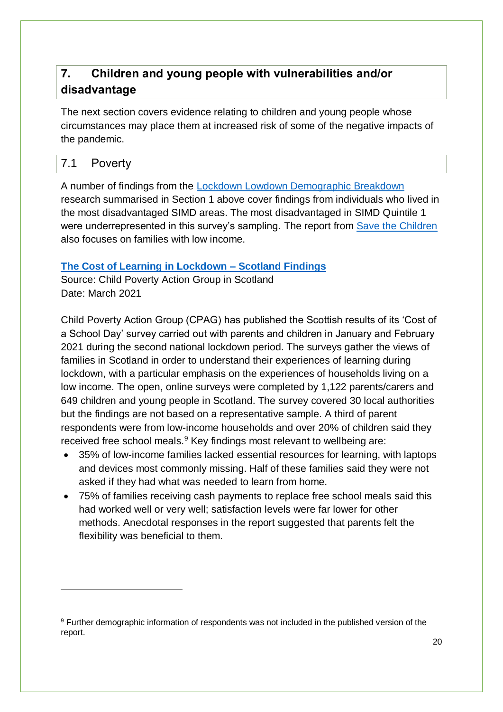## <span id="page-19-0"></span>**7. Children and young people with vulnerabilities and/or disadvantage**

The next section covers evidence relating to children and young people whose circumstances may place them at increased risk of some of the negative impacts of the pandemic.

#### <span id="page-19-1"></span>7.1 Poverty

1

A number of findings from the [Lockdown Lowdown Demographic Breakdown](#page-6-2) research summarised in Section 1 above cover findings from individuals who lived in the most disadvantaged SIMD areas. The most disadvantaged in SIMD Quintile 1 were underrepresented in this survey's sampling. The report from [Save the Children](#page-15-1) also focuses on families with low income.

#### **[The Cost of Learning in Lockdown –](https://cpag.org.uk/sites/default/files/files/policypost/Cost_of_Learning_in_Lockdown_2021_Scotland_findings.pdf) Scotland Findings**

Source: Child Poverty Action Group in Scotland Date: March 2021

Child Poverty Action Group (CPAG) has published the Scottish results of its 'Cost of a School Day' survey carried out with parents and children in January and February 2021 during the second national lockdown period. The surveys gather the views of families in Scotland in order to understand their experiences of learning during lockdown, with a particular emphasis on the experiences of households living on a low income. The open, online surveys were completed by 1,122 parents/carers and 649 children and young people in Scotland. The survey covered 30 local authorities but the findings are not based on a representative sample. A third of parent respondents were from low-income households and over 20% of children said they received free school meals.<sup>9</sup> Key findings most relevant to wellbeing are:

- 35% of low-income families lacked essential resources for learning, with laptops and devices most commonly missing. Half of these families said they were not asked if they had what was needed to learn from home.
- 75% of families receiving cash payments to replace free school meals said this had worked well or very well; satisfaction levels were far lower for other methods. Anecdotal responses in the report suggested that parents felt the flexibility was beneficial to them.

<sup>9</sup> Further demographic information of respondents was not included in the published version of the report.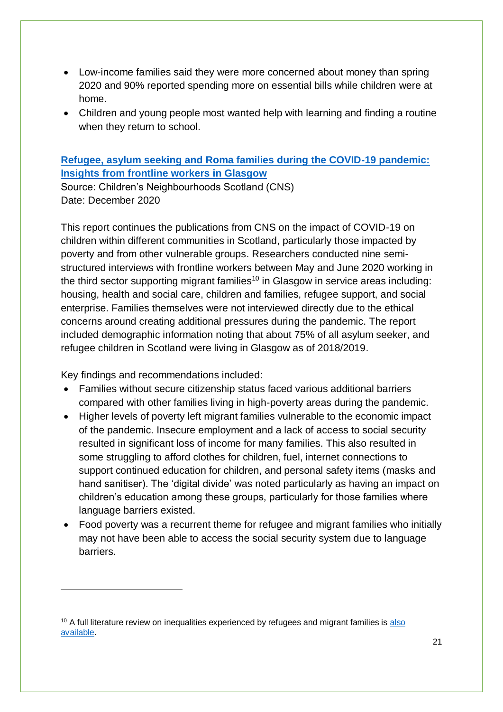- Low-income families said they were more concerned about money than spring 2020 and 90% reported spending more on essential bills while children were at home.
- Children and young people most wanted help with learning and finding a routine when they return to school.

#### **[Refugee, asylum seeking and Roma families during the COVID-19 pandemic:](https://childrensneighbourhoods.scot/wp-content/uploads/2020/12/CNS-refugee-and-migrant-families-report.pdf)  [Insights from frontline workers in Glasgow](https://childrensneighbourhoods.scot/wp-content/uploads/2020/12/CNS-refugee-and-migrant-families-report.pdf)**

Source: Children's Neighbourhoods Scotland (CNS) Date: December 2020

This report continues the publications from CNS on the impact of COVID-19 on children within different communities in Scotland, particularly those impacted by poverty and from other vulnerable groups. Researchers conducted nine semistructured interviews with frontline workers between May and June 2020 working in the third sector supporting migrant families<sup>10</sup> in Glasgow in service areas including: housing, health and social care, children and families, refugee support, and social enterprise. Families themselves were not interviewed directly due to the ethical concerns around creating additional pressures during the pandemic. The report included demographic information noting that about 75% of all asylum seeker, and refugee children in Scotland were living in Glasgow as of 2018/2019.

Key findings and recommendations included:

1

- Families without secure citizenship status faced various additional barriers compared with other families living in high-poverty areas during the pandemic.
- Higher levels of poverty left migrant families vulnerable to the economic impact of the pandemic. Insecure employment and a lack of access to social security resulted in significant loss of income for many families. This also resulted in some struggling to afford clothes for children, fuel, internet connections to support continued education for children, and personal safety items (masks and hand sanitiser). The 'digital divide' was noted particularly as having an impact on children's education among these groups, particularly for those families where language barriers existed.
- Food poverty was a recurrent theme for refugee and migrant families who initially may not have been able to access the social security system due to language barriers.

 $10$  A full literature review on inequalities experienced by refugees and migrant families is also [available.](https://childrensneighbourhoods.scot/wp-content/uploads/2020/12/CNS-lit-review-migrant-families-risk-factors-COVID.pdf)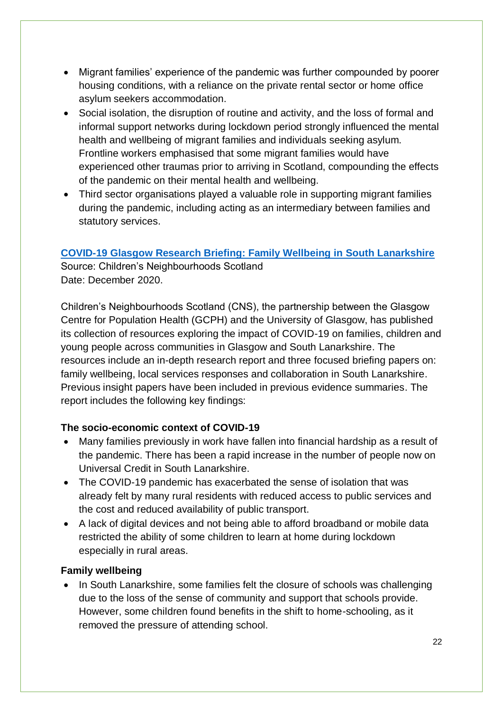- Migrant families' experience of the pandemic was further compounded by poorer housing conditions, with a reliance on the private rental sector or home office asylum seekers accommodation.
- Social isolation, the disruption of routine and activity, and the loss of formal and informal support networks during lockdown period strongly influenced the mental health and wellbeing of migrant families and individuals seeking asylum. Frontline workers emphasised that some migrant families would have experienced other traumas prior to arriving in Scotland, compounding the effects of the pandemic on their mental health and wellbeing.
- Third sector organisations played a valuable role in supporting migrant families during the pandemic, including acting as an intermediary between families and statutory services.

#### <span id="page-21-0"></span>**[COVID-19 Glasgow Research Briefing: Family Wellbeing in South Lanarkshire](https://childrensneighbourhoods.scot/wp-content/uploads/2020/12/CNS-COVID-19-SL-research-report-final.pdf)**

Source: Children's Neighbourhoods Scotland Date: December 2020.

Children's Neighbourhoods Scotland (CNS), the partnership between the Glasgow Centre for Population Health (GCPH) and the University of Glasgow, has published its collection of resources exploring the impact of COVID-19 on families, children and young people across communities in Glasgow and South Lanarkshire. The resources include an in-depth research report and three focused briefing papers on: family wellbeing, local services responses and collaboration in South Lanarkshire. Previous insight papers have been included in previous evidence summaries. The report includes the following key findings:

#### **The socio-economic context of COVID-19**

- Many families previously in work have fallen into financial hardship as a result of the pandemic. There has been a rapid increase in the number of people now on Universal Credit in South Lanarkshire.
- The COVID-19 pandemic has exacerbated the sense of isolation that was already felt by many rural residents with reduced access to public services and the cost and reduced availability of public transport.
- A lack of digital devices and not being able to afford broadband or mobile data restricted the ability of some children to learn at home during lockdown especially in rural areas.

#### **Family wellbeing**

• In South Lanarkshire, some families felt the closure of schools was challenging due to the loss of the sense of community and support that schools provide. However, some children found benefits in the shift to home-schooling, as it removed the pressure of attending school.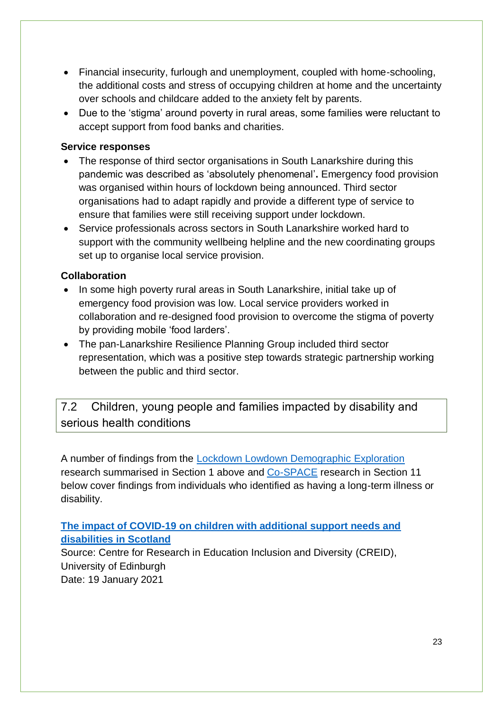- Financial insecurity, furlough and unemployment, coupled with home-schooling, the additional costs and stress of occupying children at home and the uncertainty over schools and childcare added to the anxiety felt by parents.
- Due to the 'stigma' around poverty in rural areas, some families were reluctant to accept support from food banks and charities.

#### **Service responses**

- The response of third sector organisations in South Lanarkshire during this pandemic was described as 'absolutely phenomenal'**.** Emergency food provision was organised within hours of lockdown being announced. Third sector organisations had to adapt rapidly and provide a different type of service to ensure that families were still receiving support under lockdown.
- Service professionals across sectors in South Lanarkshire worked hard to support with the community wellbeing helpline and the new coordinating groups set up to organise local service provision.

#### **Collaboration**

- In some high poverty rural areas in South Lanarkshire, initial take up of emergency food provision was low. Local service providers worked in collaboration and re-designed food provision to overcome the stigma of poverty by providing mobile 'food larders'.
- The pan-Lanarkshire Resilience Planning Group included third sector representation, which was a positive step towards strategic partnership working between the public and third sector.

<span id="page-22-0"></span>7.2 Children, young people and families impacted by disability and serious health conditions

A number of findings from the [Lockdown Lowdown Demographic Exploration](#page-6-2) research summarised in Section 1 above and [Co-SPACE](#page-32-1) research in Section 11 below cover findings from individuals who identified as having a long-term illness or disability.

**[The impact of COVID-19 on children with additional support needs and](https://www.research.ed.ac.uk/en/publications/the-impact-of-covid-19-on-children-with-additional-support-needs-)  [disabilities in Scotland](https://www.research.ed.ac.uk/en/publications/the-impact-of-covid-19-on-children-with-additional-support-needs-)**

Source: Centre for Research in Education Inclusion and Diversity (CREID), University of Edinburgh Date: 19 January 2021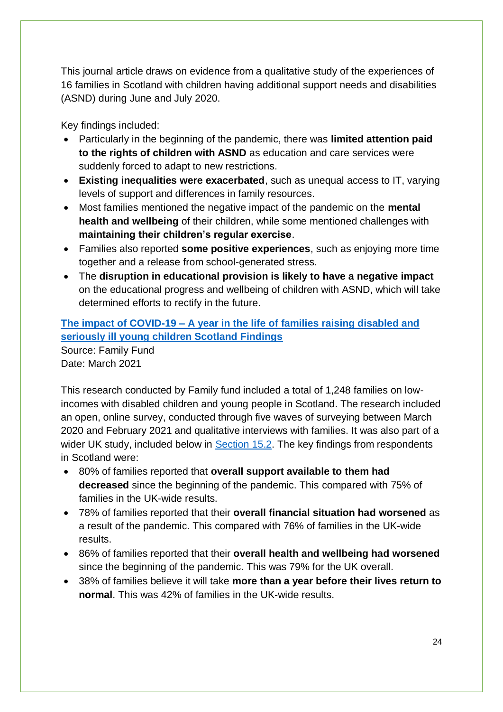This journal article draws on evidence from a qualitative study of the experiences of 16 families in Scotland with children having additional support needs and disabilities (ASND) during June and July 2020.

Key findings included:

- Particularly in the beginning of the pandemic, there was **limited attention paid to the rights of children with ASND** as education and care services were suddenly forced to adapt to new restrictions.
- **Existing inequalities were exacerbated**, such as unequal access to IT, varying levels of support and differences in family resources.
- Most families mentioned the negative impact of the pandemic on the **mental health and wellbeing** of their children, while some mentioned challenges with **maintaining their children's regular exercise**.
- Families also reported **some positive experiences**, such as enjoying more time together and a release from school-generated stress.
- The **disruption in educational provision is likely to have a negative impact**  on the educational progress and wellbeing of children with ASND, which will take determined efforts to rectify in the future.

**The impact of COVID-19 – [A year in the life of families raising disabled and](https://www.familyfund.org.uk/Handlers/Download.ashx?IDMF=fbe7dfd2-3276-4a3f-844c-c7b5f7764da8)  [seriously ill young children Scotland Findings](https://www.familyfund.org.uk/Handlers/Download.ashx?IDMF=fbe7dfd2-3276-4a3f-844c-c7b5f7764da8)** Source: Family Fund Date: March 2021

This research conducted by Family fund included a total of 1,248 families on lowincomes with disabled children and young people in Scotland. The research included an open, online survey, conducted through five waves of surveying between March 2020 and February 2021 and qualitative interviews with families. It was also part of a wider UK study, included below in **Section 15.2**. The key findings from respondents in Scotland were:

- 80% of families reported that **overall support available to them had decreased** since the beginning of the pandemic. This compared with 75% of families in the UK-wide results.
- 78% of families reported that their **overall financial situation had worsened** as a result of the pandemic. This compared with 76% of families in the UK-wide results.
- 86% of families reported that their **overall health and wellbeing had worsened** since the beginning of the pandemic. This was 79% for the UK overall.
- 38% of families believe it will take **more than a year before their lives return to normal**. This was 42% of families in the UK-wide results.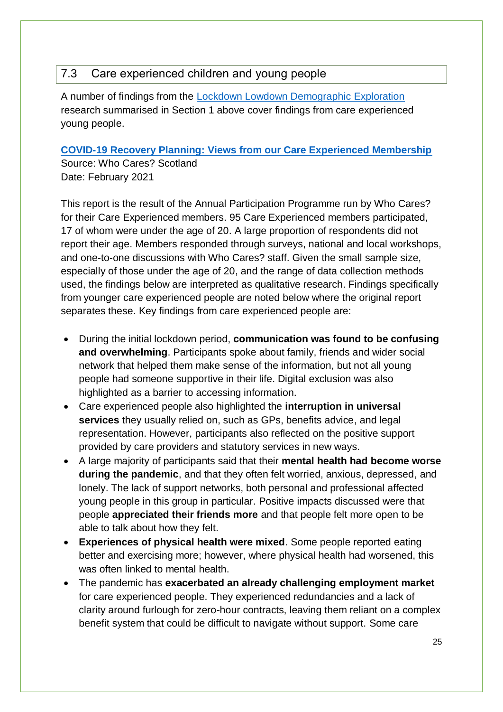### <span id="page-24-0"></span>7.3 Care experienced children and young people

A number of findings from the [Lockdown Lowdown Demographic E](#page-6-2)xploration research summarised in Section 1 above cover findings from care experienced young people.

#### <span id="page-24-1"></span>**[COVID-19 Recovery Planning: Views from our Care Experienced Membership](https://www.whocaresscotland.org/wp-content/uploads/2021/03/Covid-19-Recovery-Planning-Full-Report-Feb-21-1.pdf)**

Source: Who Cares? Scotland Date: February 2021

This report is the result of the Annual Participation Programme run by Who Cares? for their Care Experienced members. 95 Care Experienced members participated, 17 of whom were under the age of 20. A large proportion of respondents did not report their age. Members responded through surveys, national and local workshops, and one-to-one discussions with Who Cares? staff. Given the small sample size, especially of those under the age of 20, and the range of data collection methods used, the findings below are interpreted as qualitative research. Findings specifically from younger care experienced people are noted below where the original report separates these. Key findings from care experienced people are:

- During the initial lockdown period, **communication was found to be confusing and overwhelming**. Participants spoke about family, friends and wider social network that helped them make sense of the information, but not all young people had someone supportive in their life. Digital exclusion was also highlighted as a barrier to accessing information.
- Care experienced people also highlighted the **interruption in universal services** they usually relied on, such as GPs, benefits advice, and legal representation. However, participants also reflected on the positive support provided by care providers and statutory services in new ways.
- A large majority of participants said that their **mental health had become worse during the pandemic**, and that they often felt worried, anxious, depressed, and lonely. The lack of support networks, both personal and professional affected young people in this group in particular. Positive impacts discussed were that people **appreciated their friends more** and that people felt more open to be able to talk about how they felt.
- **Experiences of physical health were mixed**. Some people reported eating better and exercising more; however, where physical health had worsened, this was often linked to mental health.
- The pandemic has **exacerbated an already challenging employment market** for care experienced people. They experienced redundancies and a lack of clarity around furlough for zero-hour contracts, leaving them reliant on a complex benefit system that could be difficult to navigate without support. Some care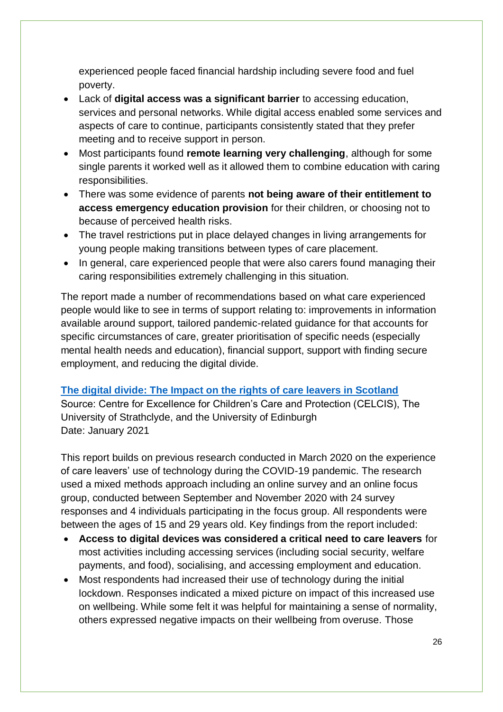experienced people faced financial hardship including severe food and fuel poverty.

- Lack of **digital access was a significant barrier** to accessing education, services and personal networks. While digital access enabled some services and aspects of care to continue, participants consistently stated that they prefer meeting and to receive support in person.
- Most participants found **remote learning very challenging**, although for some single parents it worked well as it allowed them to combine education with caring responsibilities.
- There was some evidence of parents **not being aware of their entitlement to access emergency education provision** for their children, or choosing not to because of perceived health risks.
- The travel restrictions put in place delayed changes in living arrangements for young people making transitions between types of care placement.
- In general, care experienced people that were also carers found managing their caring responsibilities extremely challenging in this situation.

The report made a number of recommendations based on what care experienced people would like to see in terms of support relating to: improvements in information available around support, tailored pandemic-related guidance for that accounts for specific circumstances of care, greater prioritisation of specific needs (especially mental health needs and education), financial support, support with finding secure employment, and reducing the digital divide.

#### **[The digital divide: The Impact on the rights of care leavers in Scotland](https://www.celcis.org/files/5516/1158/7905/The_digital_divide_The_impact_on_the_rights_of_care_leavers_in_Scotland_Inform.pdf)**

Source: Centre for Excellence for Children's Care and Protection (CELCIS), The University of Strathclyde, and the University of Edinburgh Date: January 2021

This report builds on previous research conducted in March 2020 on the experience of care leavers' use of technology during the COVID-19 pandemic. The research used a mixed methods approach including an online survey and an online focus group, conducted between September and November 2020 with 24 survey responses and 4 individuals participating in the focus group. All respondents were between the ages of 15 and 29 years old. Key findings from the report included:

- **Access to digital devices was considered a critical need to care leavers** for most activities including accessing services (including social security, welfare payments, and food), socialising, and accessing employment and education.
- Most respondents had increased their use of technology during the initial lockdown. Responses indicated a mixed picture on impact of this increased use on wellbeing. While some felt it was helpful for maintaining a sense of normality, others expressed negative impacts on their wellbeing from overuse. Those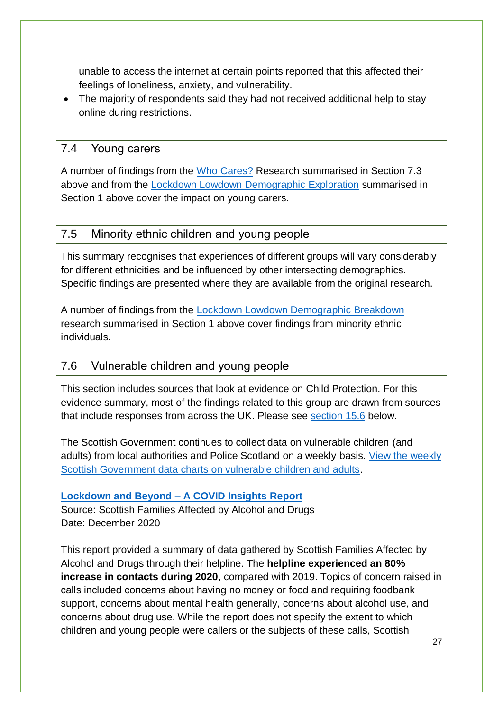unable to access the internet at certain points reported that this affected their feelings of loneliness, anxiety, and vulnerability.

• The majority of respondents said they had not received additional help to stay online during restrictions.

#### <span id="page-26-0"></span>7.4 Young carers

A number of findings from the [Who Cares?](#page-24-1) Research summarised in Section 7.3 above and from the [Lockdown Lowdown Demographic Exploration](#page-6-2) summarised in Section 1 above cover the impact on young carers.

#### <span id="page-26-1"></span>7.5 Minority ethnic children and young people

This summary recognises that experiences of different groups will vary considerably for different ethnicities and be influenced by other intersecting demographics. Specific findings are presented where they are available from the original research.

A number of findings from the [Lockdown Lowdown Demographic Breakdown](#page-6-2) research summarised in Section 1 above cover findings from minority ethnic individuals.

#### <span id="page-26-2"></span>7.6 Vulnerable children and young people

This section includes sources that look at evidence on Child Protection. For this evidence summary, most of the findings related to this group are drawn from sources that include responses from across the UK. Please see [section 15.6](#page-43-0) below.

The Scottish Government continues to collect data on vulnerable children (and adults) from local authorities and Police Scotland on a weekly basis. View the weekly [Scottish Government data charts on vulnerable children and adults.](https://public.tableau.com/profile/sg.eas.learninganalysis#!/vizhome/VulnerableChildrenandAdultProtection/Introduction)

#### **Lockdown and Beyond – [A COVID Insights Report](https://www.sfad.org.uk/our-new-report-lockdown-and-beyond)**

Source: Scottish Families Affected by Alcohol and Drugs Date: December 2020

This report provided a summary of data gathered by Scottish Families Affected by Alcohol and Drugs through their helpline. The **helpline experienced an 80% increase in contacts during 2020**, compared with 2019. Topics of concern raised in calls included concerns about having no money or food and requiring foodbank support, concerns about mental health generally, concerns about alcohol use, and concerns about drug use. While the report does not specify the extent to which children and young people were callers or the subjects of these calls, Scottish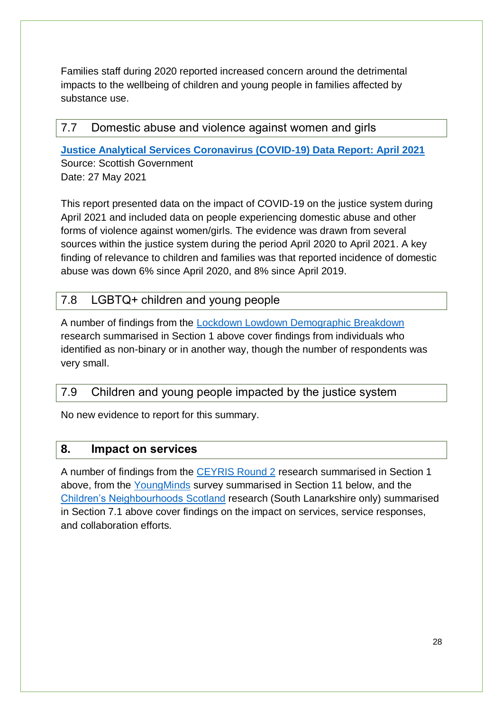Families staff during 2020 reported increased concern around the detrimental impacts to the wellbeing of children and young people in families affected by substance use.

#### <span id="page-27-0"></span>7.7 Domestic abuse and violence against women and girls

**[Justice Analytical Services Coronavirus \(COVID-19\) Data Report: April 2021](https://www.gov.scot/binaries/content/documents/govscot/publications/statistics/2021/05/coronavirus-covid-19-justice-analytical-services-data-report-april-2021/documents/justice-analytical-services-coronavirus-covid-19-data-report-april-2021/justice-analytical-services-coronavirus-covid-19-data-report-april-2021/govscot%3Adocument/justice-analytical-services-coronavirus-covid-19-data-report-april-2021.pdf)** Source: Scottish Government Date: 27 May 2021

This report presented data on the impact of COVID-19 on the justice system during April 2021 and included data on people experiencing domestic abuse and other forms of violence against women/girls. The evidence was drawn from several sources within the justice system during the period April 2020 to April 2021. A key finding of relevance to children and families was that reported incidence of domestic abuse was down 6% since April 2020, and 8% since April 2019.

### <span id="page-27-1"></span>7.8 LGBTQ+ children and young people

A number of findings from the [Lockdown Lowdown Demographic Breakdown](#page-6-2) research summarised in Section 1 above cover findings from individuals who identified as non-binary or in another way, though the number of respondents was very small.

#### <span id="page-27-2"></span>7.9 Children and young people impacted by the justice system

No new evidence to report for this summary.

#### <span id="page-27-3"></span>**8. Impact on services**

A number of findings from the [CEYRIS Round 2](#page-7-0) research summarised in Section 1 above, from the [YoungMinds](#page-33-0) survey summarised in Section 11 below, and the [Children's Neighbourhoods Scotland](#page-21-0) research (South Lanarkshire only) summarised in Section 7.1 above cover findings on the impact on services, service responses, and collaboration efforts.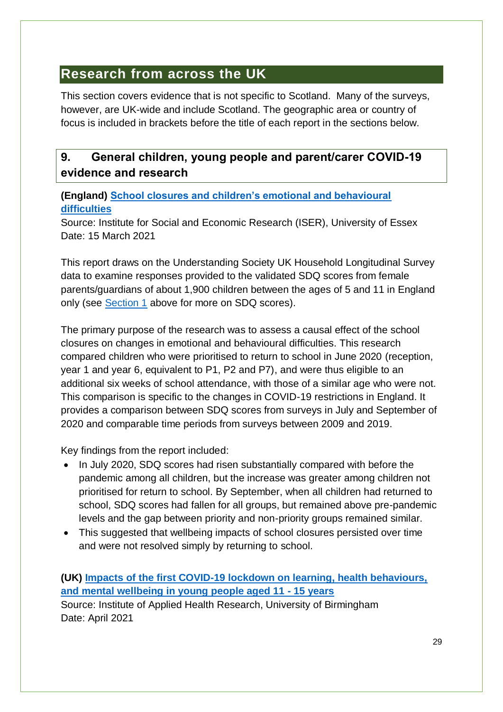## <span id="page-28-0"></span>**Research from across the UK**

This section covers evidence that is not specific to Scotland. Many of the surveys, however, are UK-wide and include Scotland. The geographic area or country of focus is included in brackets before the title of each report in the sections below.

## <span id="page-28-1"></span>**9. General children, young people and parent/carer COVID-19 evidence and research**

#### **(England) [School closures and children's emotional and behavioural](https://www.iser.essex.ac.uk/files/projects/school-closures/SDQnote2021_final.pdf)  [difficulties](https://www.iser.essex.ac.uk/files/projects/school-closures/SDQnote2021_final.pdf)**

Source: Institute for Social and Economic Research (ISER), University of Essex Date: 15 March 2021

This report draws on the Understanding Society UK Household Longitudinal Survey data to examine responses provided to the validated SDQ scores from female parents/guardians of about 1,900 children between the ages of 5 and 11 in England only (see [Section 1](#page-6-1) above for more on SDQ scores).

The primary purpose of the research was to assess a causal effect of the school closures on changes in emotional and behavioural difficulties. This research compared children who were prioritised to return to school in June 2020 (reception, year 1 and year 6, equivalent to P1, P2 and P7), and were thus eligible to an additional six weeks of school attendance, with those of a similar age who were not. This comparison is specific to the changes in COVID-19 restrictions in England. It provides a comparison between SDQ scores from surveys in July and September of 2020 and comparable time periods from surveys between 2009 and 2019.

Key findings from the report included:

- In July 2020, SDQ scores had risen substantially compared with before the pandemic among all children, but the increase was greater among children not prioritised for return to school. By September, when all children had returned to school, SDQ scores had fallen for all groups, but remained above pre-pandemic levels and the gap between priority and non-priority groups remained similar.
- This suggested that wellbeing impacts of school closures persisted over time and were not resolved simply by returning to school.

**(UK) [Impacts of the first COVID-19 lockdown on learning, health behaviours,](https://www.birmingham.ac.uk/documents/college-mds/applied-health/contrast-study/contrast-report-06-04-2021-accessible.pdf)  [and mental wellbeing in young people aged 11 -](https://www.birmingham.ac.uk/documents/college-mds/applied-health/contrast-study/contrast-report-06-04-2021-accessible.pdf) 15 years** Source: Institute of Applied Health Research, University of Birmingham Date: April 2021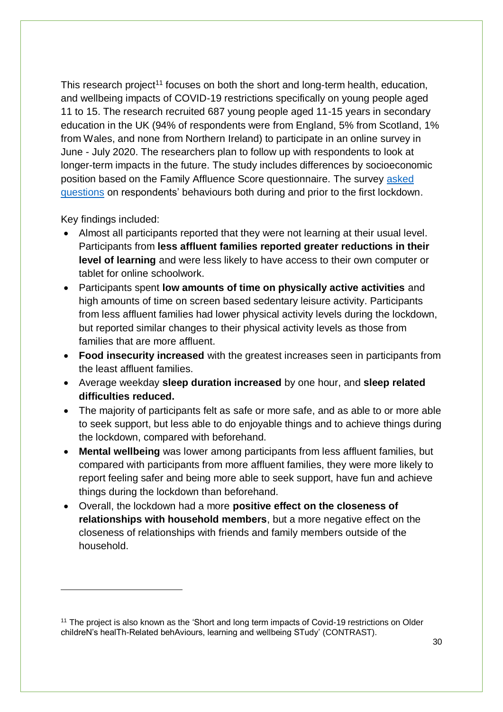This research project<sup>11</sup> focuses on both the short and long-term health, education, and wellbeing impacts of COVID-19 restrictions specifically on young people aged 11 to 15. The research recruited 687 young people aged 11-15 years in secondary education in the UK (94% of respondents were from England, 5% from Scotland, 1% from Wales, and none from Northern Ireland) to participate in an online survey in June - July 2020. The researchers plan to follow up with respondents to look at longer-term impacts in the future. The study includes differences by socioeconomic position based on the Family Affluence Score questionnaire. The survey [asked](https://www.birmingham.ac.uk/documents/college-mds/applied-health/contrast-study/contrast-survey-v7-10-06-2020-website-version.pdf)  [questions](https://www.birmingham.ac.uk/documents/college-mds/applied-health/contrast-study/contrast-survey-v7-10-06-2020-website-version.pdf) on respondents' behaviours both during and prior to the first lockdown.

Key findings included:

1

- Almost all participants reported that they were not learning at their usual level. Participants from **less affluent families reported greater reductions in their level of learning** and were less likely to have access to their own computer or tablet for online schoolwork.
- Participants spent **low amounts of time on physically active activities** and high amounts of time on screen based sedentary leisure activity. Participants from less affluent families had lower physical activity levels during the lockdown, but reported similar changes to their physical activity levels as those from families that are more affluent.
- **Food insecurity increased** with the greatest increases seen in participants from the least affluent families.
- Average weekday **sleep duration increased** by one hour, and **sleep related difficulties reduced.**
- The majority of participants felt as safe or more safe, and as able to or more able to seek support, but less able to do enjoyable things and to achieve things during the lockdown, compared with beforehand.
- **Mental wellbeing** was lower among participants from less affluent families, but compared with participants from more affluent families, they were more likely to report feeling safer and being more able to seek support, have fun and achieve things during the lockdown than beforehand.
- Overall, the lockdown had a more **positive effect on the closeness of relationships with household members**, but a more negative effect on the closeness of relationships with friends and family members outside of the household.

<sup>&</sup>lt;sup>11</sup> The project is also known as the 'Short and long term impacts of Covid-19 restrictions on Older childreN's healTh-Related behAviours, learning and wellbeing STudy' (CONTRAST).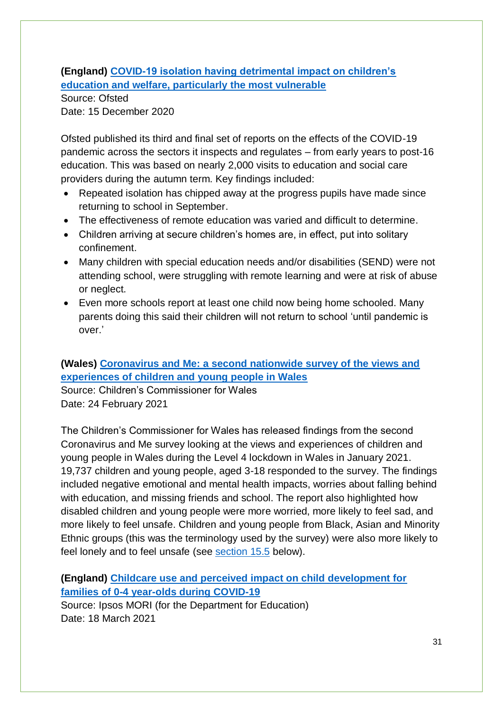**(England) [COVID-19 isolation having detrimental impact on children's](https://www.gov.uk/government/news/covid-19-isolation-having-detrimental-impact-on-childrens-education-and-welfare-particularly-the-most-vulnerable)  [education and welfare, particularly the most vulnerable](https://www.gov.uk/government/news/covid-19-isolation-having-detrimental-impact-on-childrens-education-and-welfare-particularly-the-most-vulnerable)**

Source: Ofsted Date: 15 December 2020

Ofsted published its third and final set of reports on the effects of the COVID-19 pandemic across the sectors it inspects and regulates – from early years to post-16 education. This was based on nearly 2,000 visits to education and social care providers during the autumn term. Key findings included:

- Repeated isolation has chipped away at the progress pupils have made since returning to school in September.
- The effectiveness of remote education was varied and difficult to determine.
- Children arriving at secure children's homes are, in effect, put into solitary confinement.
- Many children with special education needs and/or disabilities (SEND) were not attending school, were struggling with remote learning and were at risk of abuse or neglect.
- Even more schools report at least one child now being home schooled. Many parents doing this said their children will not return to school 'until pandemic is over.'

### <span id="page-30-0"></span>**(Wales) [Coronavirus and Me: a second nationwide survey of the views and](https://www.childcomwales.org.uk/wp-content/uploads/2021/02/CoronavirusAndMe_Jan21_ENG_110221_FINAL.pdf)  [experiences of children and young people in Wales](https://www.childcomwales.org.uk/wp-content/uploads/2021/02/CoronavirusAndMe_Jan21_ENG_110221_FINAL.pdf)**

Source: Children's Commissioner for Wales Date: 24 February 2021

The Children's Commissioner for Wales has released findings from the second Coronavirus and Me survey looking at the views and experiences of children and young people in Wales during the Level 4 lockdown in Wales in January 2021. 19,737 children and young people, aged 3-18 responded to the survey. The findings included negative emotional and mental health impacts, worries about falling behind with education, and missing friends and school. The report also highlighted how disabled children and young people were more worried, more likely to feel sad, and more likely to feel unsafe. Children and young people from Black, Asian and Minority Ethnic groups (this was the terminology used by the survey) were also more likely to feel lonely and to feel unsafe (see [section 15.5](#page-42-2) below).

**(England) [Childcare use and perceived impact on child development for](https://www.ipsos.com/ipsos-mori/en-uk/childcare-use-and-perceived-impact-child-development-families-0-4-year-olds-during-covid-19)  [families of 0-4 year-olds during COVID-19](https://www.ipsos.com/ipsos-mori/en-uk/childcare-use-and-perceived-impact-child-development-families-0-4-year-olds-during-covid-19)**

Source: Ipsos MORI (for the Department for Education) Date: 18 March 2021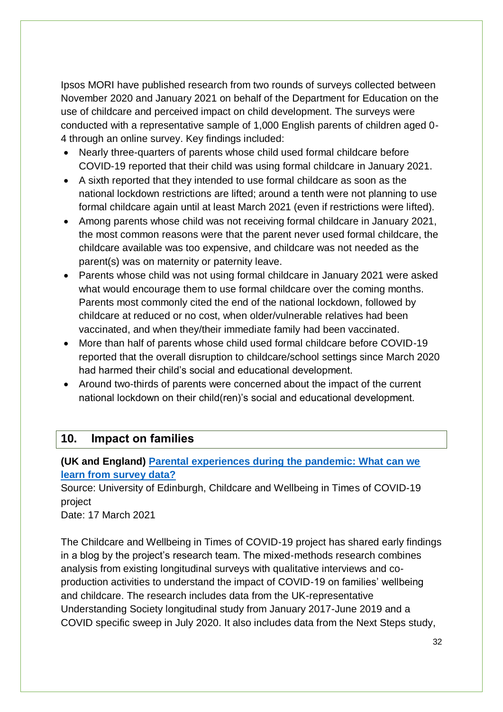Ipsos MORI have published research from two rounds of surveys collected between November 2020 and January 2021 on behalf of the Department for Education on the use of childcare and perceived impact on child development. The surveys were conducted with a representative sample of 1,000 English parents of children aged 0- 4 through an online survey. Key findings included:

- Nearly three-quarters of parents whose child used formal childcare before COVID-19 reported that their child was using formal childcare in January 2021.
- A sixth reported that they intended to use formal childcare as soon as the national lockdown restrictions are lifted; around a tenth were not planning to use formal childcare again until at least March 2021 (even if restrictions were lifted).
- Among parents whose child was not receiving formal childcare in January 2021, the most common reasons were that the parent never used formal childcare, the childcare available was too expensive, and childcare was not needed as the parent(s) was on maternity or paternity leave.
- Parents whose child was not using formal childcare in January 2021 were asked what would encourage them to use formal childcare over the coming months. Parents most commonly cited the end of the national lockdown, followed by childcare at reduced or no cost, when older/vulnerable relatives had been vaccinated, and when they/their immediate family had been vaccinated.
- More than half of parents whose child used formal childcare before COVID-19 reported that the overall disruption to childcare/school settings since March 2020 had harmed their child's social and educational development.
- Around two-thirds of parents were concerned about the impact of the current national lockdown on their child(ren)'s social and educational development.

#### <span id="page-31-0"></span>**10. Impact on families**

**(UK and England) [Parental experiences during the pandemic: What can we](https://childcare-covid.org/uk-governments-withdrawn-sexist-advert-hits-a-little-too-close-to-home/)  [learn from survey data?](https://childcare-covid.org/uk-governments-withdrawn-sexist-advert-hits-a-little-too-close-to-home/)**

Source: University of Edinburgh, Childcare and Wellbeing in Times of COVID-19 project

Date: 17 March 2021

The Childcare and Wellbeing in Times of COVID-19 project has shared early findings in a blog by the project's research team. The mixed-methods research combines analysis from existing longitudinal surveys with qualitative interviews and coproduction activities to understand the impact of COVID-19 on families' wellbeing and childcare. The research includes data from the UK-representative Understanding Society longitudinal study from January 2017-June 2019 and a COVID specific sweep in July 2020. It also includes data from the Next Steps study,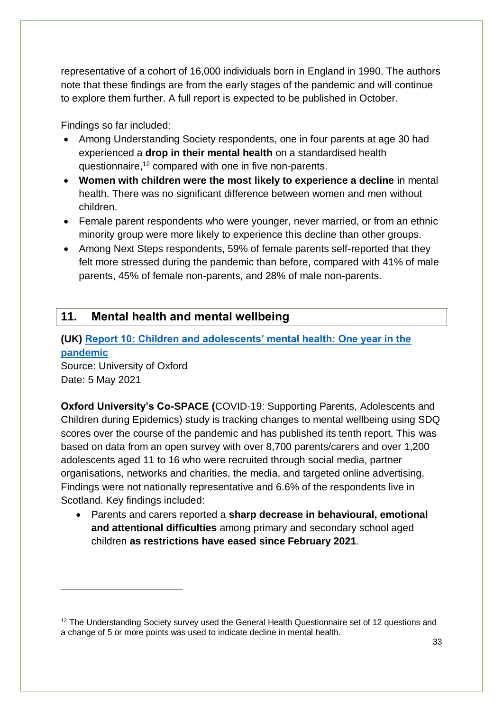representative of a cohort of 16,000 individuals born in England in 1990. The authors note that these findings are from the early stages of the pandemic and will continue to explore them further. A full report is expected to be published in October.

Findings so far included:

- Among Understanding Society respondents, one in four parents at age 30 had experienced a **drop in their mental health** on a standardised health questionnaire,<sup>12</sup> compared with one in five non-parents.
- **Women with children were the most likely to experience a decline** in mental health. There was no significant difference between women and men without children.
- Female parent respondents who were younger, never married, or from an ethnic minority group were more likely to experience this decline than other groups.
- Among Next Steps respondents, 59% of female parents self-reported that they felt more stressed during the pandemic than before, compared with 41% of male parents, 45% of female non-parents, and 28% of male non-parents.

## <span id="page-32-0"></span>**11. Mental health and mental wellbeing**

<span id="page-32-1"></span>**(UK) [Report 10: Children and adolescents' mental health: One year in the](https://cospaceoxford.org/findings/report-10-changes-in-childrens-mental-health-throughout-one-year-of-the-covid-19-pandemic/)  [pandemic](https://cospaceoxford.org/findings/report-10-changes-in-childrens-mental-health-throughout-one-year-of-the-covid-19-pandemic/)** Source: University of Oxford

Date: 5 May 2021

1

**Oxford University's Co-SPACE (**COVID-19: Supporting Parents, Adolescents and Children during Epidemics) study is tracking changes to mental wellbeing using SDQ scores over the course of the pandemic and has published its tenth report. This was based on data from an open survey with over 8,700 parents/carers and over 1,200 adolescents aged 11 to 16 who were recruited through social media, partner organisations, networks and charities, the media, and targeted online advertising. Findings were not nationally representative and 6.6% of the respondents live in Scotland. Key findings included:

• Parents and carers reported a **sharp decrease in behavioural, emotional and attentional difficulties** among primary and secondary school aged children **as restrictions have eased since February 2021**.

<sup>&</sup>lt;sup>12</sup> The Understanding Society survey used the General Health Questionnaire set of 12 questions and a change of 5 or more points was used to indicate decline in mental health.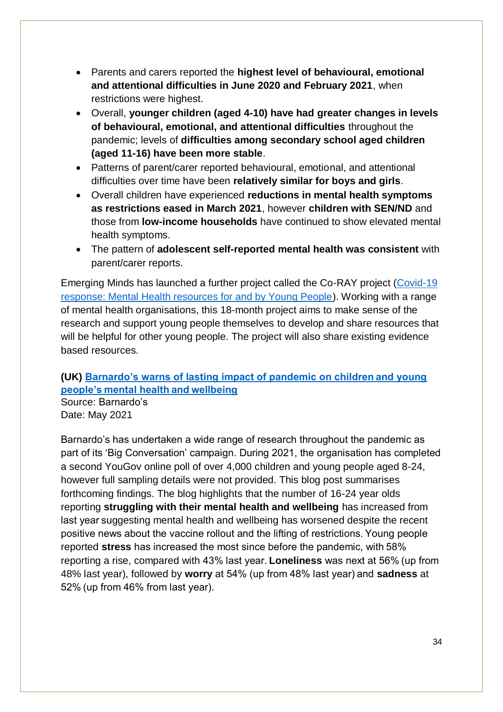- Parents and carers reported the **highest level of behavioural, emotional and attentional difficulties in June 2020 and February 2021**, when restrictions were highest.
- Overall, **younger children (aged 4-10) have had greater changes in levels of behavioural, emotional, and attentional difficulties** throughout the pandemic; levels of **difficulties among secondary school aged children (aged 11-16) have been more stable**.
- Patterns of parent/carer reported behavioural, emotional, and attentional difficulties over time have been **relatively similar for boys and girls**.
- Overall children have experienced **reductions in mental health symptoms as restrictions eased in March 2021**, however **children with SEN/ND** and those from **low-income households** have continued to show elevated mental health symptoms.
- The pattern of **adolescent self-reported mental health was consistent** with parent/carer reports.

Emerging Minds has launched a further project called the Co-RAY project [\(Covid-19](https://emergingminds.org.uk/co-ray-project/)  [response: Mental Health resources for and by Young People\)](https://emergingminds.org.uk/co-ray-project/). Working with a range of mental health organisations, this 18-month project aims to make sense of the research and support young people themselves to develop and share resources that will be helpful for other young people. The project will also share existing evidence based resources.

#### **(UK) [Barnardo's warns of lasting impact of pandemic on children and young](https://www.barnardos.org.uk/news/barnardos-warns-lasting-impact-pandemic-children-and-young-peoples-mental-health-and-wellbeing)  [people's mental health and wellbeing](https://www.barnardos.org.uk/news/barnardos-warns-lasting-impact-pandemic-children-and-young-peoples-mental-health-and-wellbeing)**

Source: Barnardo's Date: May 2021

<span id="page-33-0"></span>Barnardo's has undertaken a wide range of research throughout the pandemic as part of its 'Big Conversation' campaign. During 2021, the organisation has completed a second YouGov online poll of over 4,000 children and young people aged 8-24, however full sampling details were not provided. This blog post summarises forthcoming findings. The blog highlights that the number of 16-24 year olds reporting **struggling with their mental health and wellbeing** has increased from last year suggesting mental health and wellbeing has worsened despite the recent positive news about the vaccine rollout and the lifting of restrictions. Young people reported **stress** has increased the most since before the pandemic, with 58% reporting a rise, compared with 43% last year. **Loneliness** was next at 56% (up from 48% last year), followed by **worry** at 54% (up from 48% last year) and **sadness** at 52% (up from 46% from last year).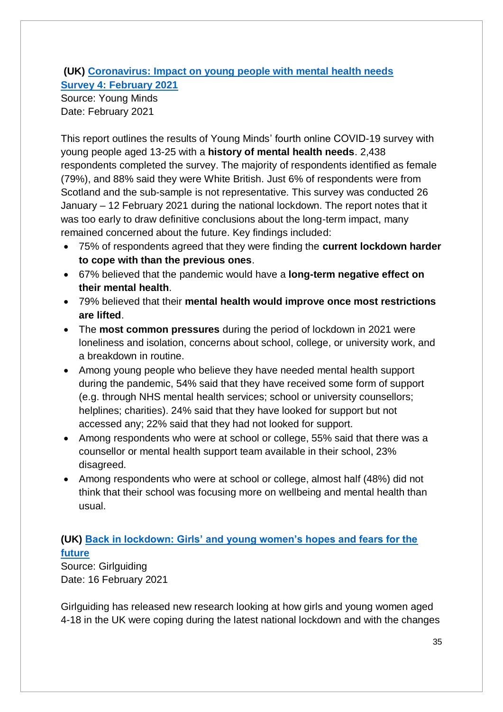### **(UK) [Coronavirus: Impact on young people with mental health needs](https://youngminds.org.uk/media/4350/coronavirus-report-winter.pdf) [Survey 4: February 2021](https://youngminds.org.uk/media/4350/coronavirus-report-winter.pdf)**

Source: Young Minds Date: February 2021

This report outlines the results of Young Minds' fourth online COVID-19 survey with young people aged 13-25 with a **history of mental health needs**. 2,438 respondents completed the survey. The majority of respondents identified as female (79%), and 88% said they were White British. Just 6% of respondents were from Scotland and the sub-sample is not representative. This survey was conducted 26 January – 12 February 2021 during the national lockdown. The report notes that it was too early to draw definitive conclusions about the long-term impact, many remained concerned about the future. Key findings included:

- 75% of respondents agreed that they were finding the **current lockdown harder to cope with than the previous ones**.
- 67% believed that the pandemic would have a **long-term negative effect on their mental health**.
- 79% believed that their **mental health would improve once most restrictions are lifted**.
- The **most common pressures** during the period of lockdown in 2021 were loneliness and isolation, concerns about school, college, or university work, and a breakdown in routine.
- Among young people who believe they have needed mental health support during the pandemic, 54% said that they have received some form of support (e.g. through NHS mental health services; school or university counsellors; helplines; charities). 24% said that they have looked for support but not accessed any; 22% said that they had not looked for support.
- Among respondents who were at school or college, 55% said that there was a counsellor or mental health support team available in their school, 23% disagreed.
- Among respondents who were at school or college, almost half (48%) did not think that their school was focusing more on wellbeing and mental health than usual.

## **(UK) [Back in lockdown: Girls' and young women's hopes and fears for the](https://www.girlguiding.org.uk/globalassets/docs-and-resources/research-and-campaigns/back-in-lockdown-report.pdf#:~:text=Back%20in%20lockdown%20-%20Executive%20summary%202%20In,findings%20show%20that%20the%20pandemic%20has%20caused%20tremendous)  [future](https://www.girlguiding.org.uk/globalassets/docs-and-resources/research-and-campaigns/back-in-lockdown-report.pdf#:~:text=Back%20in%20lockdown%20-%20Executive%20summary%202%20In,findings%20show%20that%20the%20pandemic%20has%20caused%20tremendous)**

Source: Girlguiding Date: 16 February 2021

Girlguiding has released new research looking at how girls and young women aged 4-18 in the UK were coping during the latest national lockdown and with the changes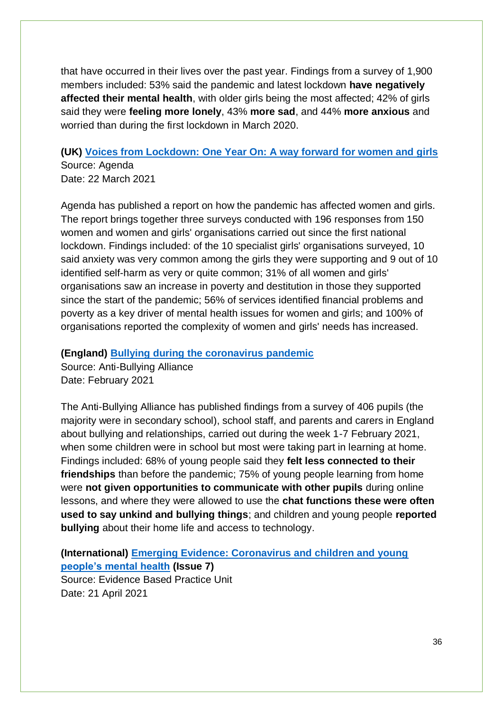that have occurred in their lives over the past year. Findings from a survey of 1,900 members included: 53% said the pandemic and latest lockdown **have negatively affected their mental health**, with older girls being the most affected; 42% of girls said they were **feeling more lonely**, 43% **more sad**, and 44% **more anxious** and worried than during the first lockdown in March 2020.

## **(UK) [Voices from Lockdown: One Year On: A way forward for women and girls](https://weareagenda.org/wp-content/uploads/2021/03/Voices-From-Lockdown-A-Way-Forward-report.pdf)** Source: Agenda

Date: 22 March 2021

Agenda has published a report on how the pandemic has affected women and girls. The report brings together three surveys conducted with 196 responses from 150 women and women and girls' organisations carried out since the first national lockdown. Findings included: of the 10 specialist girls' organisations surveyed, 10 said anxiety was very common among the girls they were supporting and 9 out of 10 identified self-harm as very or quite common; 31% of all women and girls' organisations saw an increase in poverty and destitution in those they supported since the start of the pandemic; 56% of services identified financial problems and poverty as a key driver of mental health issues for women and girls; and 100% of organisations reported the complexity of women and girls' needs has increased.

#### **(England) [Bullying during the coronavirus pandemic](https://anti-bullyingalliance.org.uk/sites/default/files/uploads/attachments/Bullying%20in%20the%20pandemic.pdf)**

Source: Anti-Bullying Alliance Date: February 2021

The Anti-Bullying Alliance has published findings from a survey of 406 pupils (the majority were in secondary school), school staff, and parents and carers in England about bullying and relationships, carried out during the week 1-7 February 2021, when some children were in school but most were taking part in learning at home. Findings included: 68% of young people said they **felt less connected to their friendships** than before the pandemic; 75% of young people learning from home were **not given opportunities to communicate with other pupils** during online lessons, and where they were allowed to use the **chat functions these were often used to say unkind and bullying things**; and children and young people **reported bullying** about their home life and access to technology.

<span id="page-35-0"></span>**(International) [Emerging Evidence: Coronavirus and children and young](https://www.annafreud.org/media/13549/emergingevidence7.pdf)  [people's mental health](https://www.annafreud.org/media/13549/emergingevidence7.pdf) (Issue 7)** Source: Evidence Based Practice Unit Date: 21 April 2021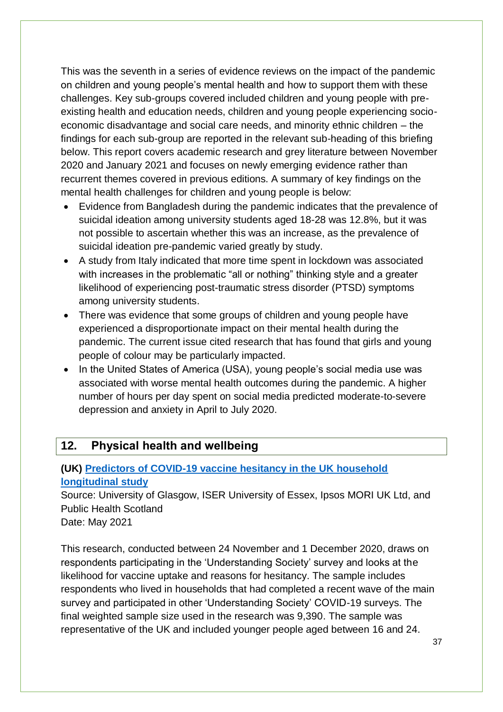This was the seventh in a series of evidence reviews on the impact of the pandemic on children and young people's mental health and how to support them with these challenges. Key sub-groups covered included children and young people with preexisting health and education needs, children and young people experiencing socioeconomic disadvantage and social care needs, and minority ethnic children – the findings for each sub-group are reported in the relevant sub-heading of this briefing below. This report covers academic research and grey literature between November 2020 and January 2021 and focuses on newly emerging evidence rather than recurrent themes covered in previous editions. A summary of key findings on the mental health challenges for children and young people is below:

- Evidence from Bangladesh during the pandemic indicates that the prevalence of suicidal ideation among university students aged 18-28 was 12.8%, but it was not possible to ascertain whether this was an increase, as the prevalence of suicidal ideation pre-pandemic varied greatly by study.
- A study from Italy indicated that more time spent in lockdown was associated with increases in the problematic "all or nothing" thinking style and a greater likelihood of experiencing post-traumatic stress disorder (PTSD) symptoms among university students.
- There was evidence that some groups of children and young people have experienced a disproportionate impact on their mental health during the pandemic. The current issue cited research that has found that girls and young people of colour may be particularly impacted.
- In the United States of America (USA), young people's social media use was associated with worse mental health outcomes during the pandemic. A higher number of hours per day spent on social media predicted moderate-to-severe depression and anxiety in April to July 2020.

#### <span id="page-36-0"></span>**12. Physical health and wellbeing**

#### **(UK) [Predictors of COVID-19 vaccine hesitancy in the UK household](https://doi.org/10.1016/j.bbi.2021.03.008)  [longitudinal study](https://doi.org/10.1016/j.bbi.2021.03.008)**

Source: University of Glasgow, ISER University of Essex, Ipsos MORI UK Ltd, and Public Health Scotland

Date: May 2021

This research, conducted between 24 November and 1 December 2020, draws on respondents participating in the 'Understanding Society' survey and looks at the likelihood for vaccine uptake and reasons for hesitancy. The sample includes respondents who lived in households that had completed a recent wave of the main survey and participated in other 'Understanding Society' COVID-19 surveys. The final weighted sample size used in the research was 9,390. The sample was representative of the UK and included younger people aged between 16 and 24.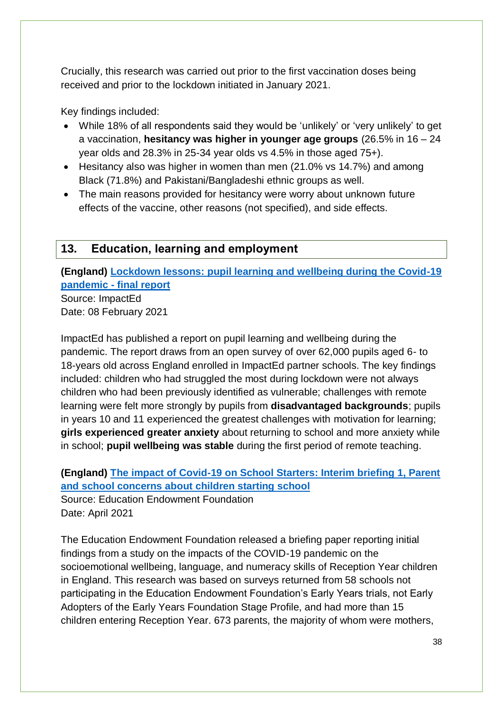Crucially, this research was carried out prior to the first vaccination doses being received and prior to the lockdown initiated in January 2021.

Key findings included:

- While 18% of all respondents said they would be 'unlikely' or 'very unlikely' to get a vaccination, **hesitancy was higher in younger age groups** (26.5% in 16 – 24 year olds and 28.3% in 25-34 year olds vs 4.5% in those aged 75+).
- Hesitancy also was higher in women than men (21.0% vs 14.7%) and among Black (71.8%) and Pakistani/Bangladeshi ethnic groups as well.
- The main reasons provided for hesitancy were worry about unknown future effects of the vaccine, other reasons (not specified), and side effects.

## <span id="page-37-0"></span>**13. Education, learning and employment**

**(England) [Lockdown lessons: pupil learning and wellbeing during the Covid-19](https://drive.google.com/file/d/19tcaSSfyxzTXWjBlj8LsgtJM-frrfbXu/view)  [pandemic -](https://drive.google.com/file/d/19tcaSSfyxzTXWjBlj8LsgtJM-frrfbXu/view) final report** Source: ImpactEd

Date: 08 February 2021

ImpactEd has published a report on pupil learning and wellbeing during the pandemic. The report draws from an open survey of over 62,000 pupils aged 6- to 18-years old across England enrolled in ImpactEd partner schools. The key findings included: children who had struggled the most during lockdown were not always children who had been previously identified as vulnerable; challenges with remote learning were felt more strongly by pupils from **disadvantaged backgrounds**; pupils in years 10 and 11 experienced the greatest challenges with motivation for learning; **girls experienced greater anxiety** about returning to school and more anxiety while in school; **pupil wellbeing was stable** during the first period of remote teaching.

**(England) [The impact of Covid-19 on School Starters: Interim briefing 1, Parent](https://educationendowmentfoundation.org.uk/public/files/Impact_of_Covid19_on_School_Starters_-_Interim_Briefing_1_-_April_2021_-_Final.pdf)  [and school concerns about children starting school](https://educationendowmentfoundation.org.uk/public/files/Impact_of_Covid19_on_School_Starters_-_Interim_Briefing_1_-_April_2021_-_Final.pdf)** Source: Education Endowment Foundation Date: April 2021

The Education Endowment Foundation released a briefing paper reporting initial findings from a study on the impacts of the COVID-19 pandemic on the socioemotional wellbeing, language, and numeracy skills of Reception Year children in England. This research was based on surveys returned from 58 schools not participating in the Education Endowment Foundation's Early Years trials, not Early Adopters of the Early Years Foundation Stage Profile, and had more than 15 children entering Reception Year. 673 parents, the majority of whom were mothers,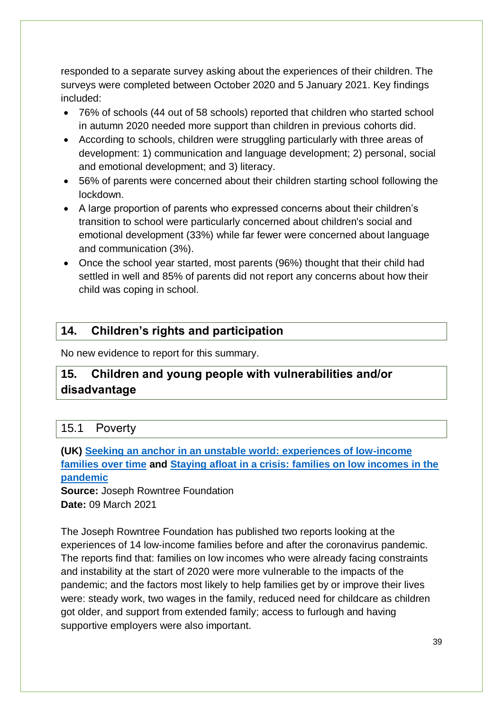responded to a separate survey asking about the experiences of their children. The surveys were completed between October 2020 and 5 January 2021. Key findings included:

- 76% of schools (44 out of 58 schools) reported that children who started school in autumn 2020 needed more support than children in previous cohorts did.
- According to schools, children were struggling particularly with three areas of development: 1) communication and language development; 2) personal, social and emotional development; and 3) literacy.
- 56% of parents were concerned about their children starting school following the lockdown.
- A large proportion of parents who expressed concerns about their children's transition to school were particularly concerned about children's social and emotional development (33%) while far fewer were concerned about language and communication (3%).
- Once the school year started, most parents (96%) thought that their child had settled in well and 85% of parents did not report any concerns about how their child was coping in school.

## <span id="page-38-0"></span>**14. Children's rights and participation**

No new evidence to report for this summary.

## <span id="page-38-1"></span>**15. Children and young people with vulnerabilities and/or disadvantage**

## <span id="page-38-2"></span>15.1 Poverty

**(UK) [Seeking an anchor in an unstable world: experiences of low-income](https://www.jrf.org.uk/report/seeking-anchor-unstable-world-experiences-low-income-families-over-time)  [families over time](https://www.jrf.org.uk/report/seeking-anchor-unstable-world-experiences-low-income-families-over-time) and [Staying afloat in a crisis: families on low incomes in the](https://www.jrf.org.uk/report/staying-afloat-crisis-families-low-incomes-pandemic)  [pandemic](https://www.jrf.org.uk/report/staying-afloat-crisis-families-low-incomes-pandemic)**

**Source: Joseph Rowntree Foundation Date:** 09 March 2021

The Joseph Rowntree Foundation has published two reports looking at the experiences of 14 low-income families before and after the coronavirus pandemic. The reports find that: families on low incomes who were already facing constraints and instability at the start of 2020 were more vulnerable to the impacts of the pandemic; and the factors most likely to help families get by or improve their lives were: steady work, two wages in the family, reduced need for childcare as children got older, and support from extended family; access to furlough and having supportive employers were also important.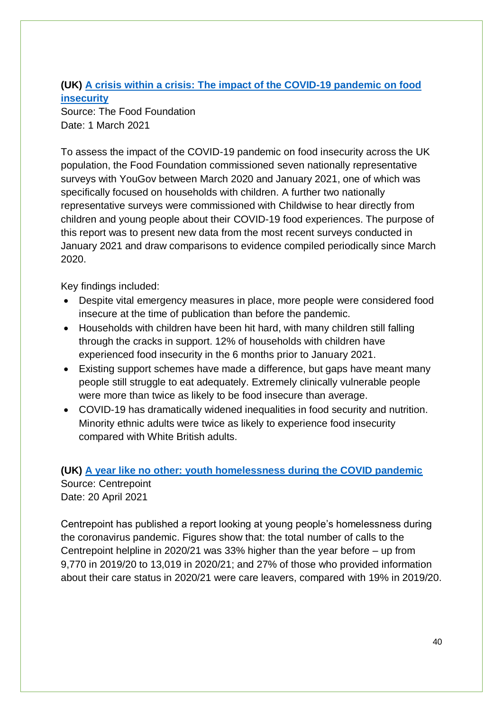### **(UK) [A crisis within a crisis: The impact of the COVID-19 pandemic on food](https://foodfoundation.org.uk/wp-content/uploads/2021/03/FF_Impact-of-Covid_FINAL.pdf)  [insecurity](https://foodfoundation.org.uk/wp-content/uploads/2021/03/FF_Impact-of-Covid_FINAL.pdf)**

Source: The Food Foundation Date: 1 March 2021

To assess the impact of the COVID-19 pandemic on food insecurity across the UK population, the Food Foundation commissioned seven nationally representative surveys with YouGov between March 2020 and January 2021, one of which was specifically focused on households with children. A further two nationally representative surveys were commissioned with Childwise to hear directly from children and young people about their COVID-19 food experiences. The purpose of this report was to present new data from the most recent surveys conducted in January 2021 and draw comparisons to evidence compiled periodically since March 2020.

Key findings included:

- Despite vital emergency measures in place, more people were considered food insecure at the time of publication than before the pandemic.
- Households with children have been hit hard, with many children still falling through the cracks in support. 12% of households with children have experienced food insecurity in the 6 months prior to January 2021.
- Existing support schemes have made a difference, but gaps have meant many people still struggle to eat adequately. Extremely clinically vulnerable people were more than twice as likely to be food insecure than average.
- COVID-19 has dramatically widened inequalities in food security and nutrition. Minority ethnic adults were twice as likely to experience food insecurity compared with White British adults.

#### **(UK) [A year like no other: youth homelessness during the COVID pandemic](https://centrepoint.org.uk/media/4773/a-year-like-no-other.pdf)** Source: Centrepoint Date: 20 April 2021

Centrepoint has published a report looking at young people's homelessness during the coronavirus pandemic. Figures show that: the total number of calls to the Centrepoint helpline in 2020/21 was 33% higher than the year before – up from 9,770 in 2019/20 to 13,019 in 2020/21; and 27% of those who provided information about their care status in 2020/21 were care leavers, compared with 19% in 2019/20.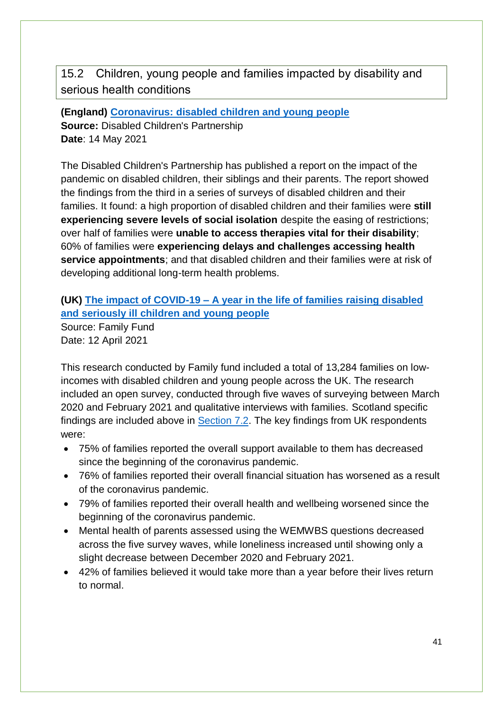<span id="page-40-0"></span>15.2 Children, young people and families impacted by disability and serious health conditions

**(England) [Coronavirus: disabled children and young people](https://disabledchildrenspartnership.org.uk/wp-content/uploads/2021/05/No-End-in-Sight.pdf) Source:** Disabled Children's Partnership **Date**: 14 May 2021

The Disabled Children's Partnership has published a report on the impact of the pandemic on disabled children, their siblings and their parents. The report showed the findings from the third in a series of surveys of disabled children and their families. It found: a high proportion of disabled children and their families were **still experiencing severe levels of social isolation** despite the easing of restrictions; over half of families were **unable to access therapies vital for their disability**; 60% of families were **experiencing delays and challenges accessing health service appointments**; and that disabled children and their families were at risk of developing additional long-term health problems.

#### **(UK) The impact of COVID-19 – [A year in the life of families raising disabled](https://www.familyfund.org.uk/Handlers/Download.ashx?IDMF=c7e2f959-c183-49e8-bef8-1a7ae8e12e6e)  [and seriously ill children and young people](https://www.familyfund.org.uk/Handlers/Download.ashx?IDMF=c7e2f959-c183-49e8-bef8-1a7ae8e12e6e)**

Source: Family Fund Date: 12 April 2021

This research conducted by Family fund included a total of 13,284 families on lowincomes with disabled children and young people across the UK. The research included an open survey, conducted through five waves of surveying between March 2020 and February 2021 and qualitative interviews with families. Scotland specific findings are included above in [Section 7.2.](#page-22-0) The key findings from UK respondents were:

- 75% of families reported the overall support available to them has decreased since the beginning of the coronavirus pandemic.
- 76% of families reported their overall financial situation has worsened as a result of the coronavirus pandemic.
- 79% of families reported their overall health and wellbeing worsened since the beginning of the coronavirus pandemic.
- Mental health of parents assessed using the WEMWBS questions decreased across the five survey waves, while loneliness increased until showing only a slight decrease between December 2020 and February 2021.
- 42% of families believed it would take more than a year before their lives return to normal.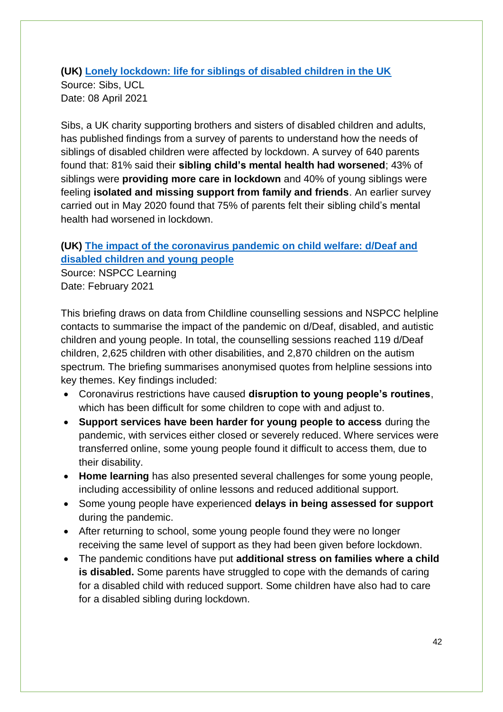#### **(UK) [Lonely lockdown: life for siblings of disabled children in the UK](https://discovery.ucl.ac.uk/id/eprint/10125424/)**

Source: Sibs, UCL Date: 08 April 2021

Sibs, a UK charity supporting brothers and sisters of disabled children and adults, has published findings from a survey of parents to understand how the needs of siblings of disabled children were affected by lockdown. A survey of 640 parents found that: 81% said their **sibling child's mental health had worsened**; 43% of siblings were **providing more care in lockdown** and 40% of young siblings were feeling **isolated and missing support from family and friends**. An earlier survey carried out in May 2020 found that 75% of parents felt their sibling child's mental health had worsened in lockdown.

#### **(UK) [The impact of the coronavirus pandemic on child welfare: d/Deaf and](https://learning.nspcc.org.uk/media/2521/impact-of-coronavirus-pandemic-on-child-welfare-deaf-disabled-children.pdf)  [disabled children and young people](https://learning.nspcc.org.uk/media/2521/impact-of-coronavirus-pandemic-on-child-welfare-deaf-disabled-children.pdf)**

Source: NSPCC Learning Date: February 2021

This briefing draws on data from Childline counselling sessions and NSPCC helpline contacts to summarise the impact of the pandemic on d/Deaf, disabled, and autistic children and young people. In total, the counselling sessions reached 119 d/Deaf children, 2,625 children with other disabilities, and 2,870 children on the autism spectrum. The briefing summarises anonymised quotes from helpline sessions into key themes. Key findings included:

- Coronavirus restrictions have caused **disruption to young people's routines**, which has been difficult for some children to cope with and adjust to.
- **Support services have been harder for young people to access** during the pandemic, with services either closed or severely reduced. Where services were transferred online, some young people found it difficult to access them, due to their disability.
- **Home learning** has also presented several challenges for some young people, including accessibility of online lessons and reduced additional support.
- Some young people have experienced **delays in being assessed for support** during the pandemic.
- After returning to school, some young people found they were no longer receiving the same level of support as they had been given before lockdown.
- The pandemic conditions have put **additional stress on families where a child is disabled.** Some parents have struggled to cope with the demands of caring for a disabled child with reduced support. Some children have also had to care for a disabled sibling during lockdown.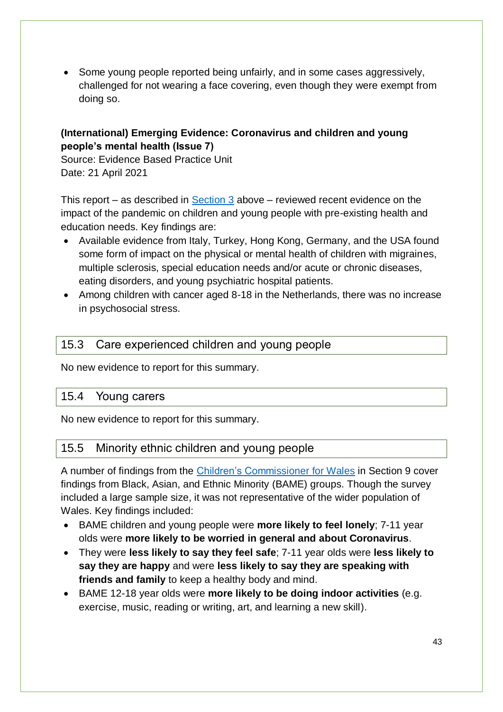• Some young people reported being unfairly, and in some cases aggressively, challenged for not wearing a face covering, even though they were exempt from doing so.

#### **(International) Emerging Evidence: Coronavirus and children and young people's mental health (Issue 7)**

Source: Evidence Based Practice Unit Date: 21 April 2021

This report – as described in [Section 3](#page-35-0) above – reviewed recent evidence on the impact of the pandemic on children and young people with pre-existing health and education needs. Key findings are:

- Available evidence from Italy, Turkey, Hong Kong, Germany, and the USA found some form of impact on the physical or mental health of children with migraines, multiple sclerosis, special education needs and/or acute or chronic diseases, eating disorders, and young psychiatric hospital patients.
- Among children with cancer aged 8-18 in the Netherlands, there was no increase in psychosocial stress.

#### <span id="page-42-0"></span>15.3 Care experienced children and young people

No new evidence to report for this summary.

#### <span id="page-42-1"></span>15.4 Young carers

No new evidence to report for this summary.

## <span id="page-42-2"></span>15.5 Minority ethnic children and young people

A number of findings from the [Children's Commissioner for Wales](#page-30-0) in Section 9 cover findings from Black, Asian, and Ethnic Minority (BAME) groups. Though the survey included a large sample size, it was not representative of the wider population of Wales. Key findings included:

- BAME children and young people were **more likely to feel lonely**; 7-11 year olds were **more likely to be worried in general and about Coronavirus**.
- They were **less likely to say they feel safe**; 7-11 year olds were **less likely to say they are happy** and were **less likely to say they are speaking with friends and family** to keep a healthy body and mind.
- BAME 12-18 year olds were **more likely to be doing indoor activities** (e.g. exercise, music, reading or writing, art, and learning a new skill).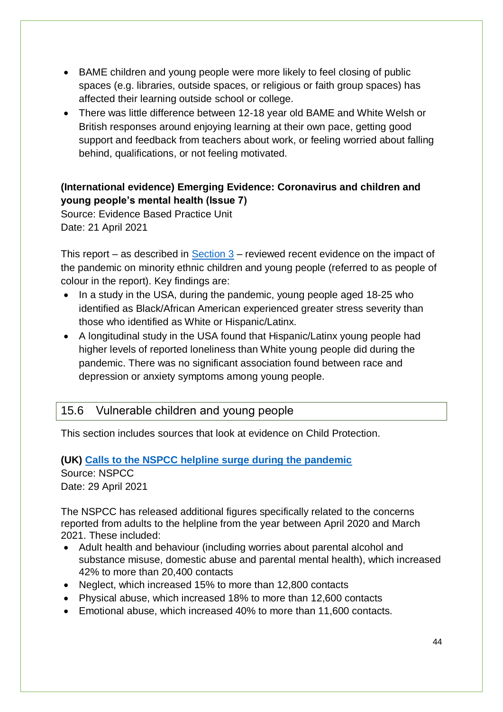- BAME children and young people were more likely to feel closing of public spaces (e.g. libraries, outside spaces, or religious or faith group spaces) has affected their learning outside school or college.
- There was little difference between 12-18 year old BAME and White Welsh or British responses around enjoying learning at their own pace, getting good support and feedback from teachers about work, or feeling worried about falling behind, qualifications, or not feeling motivated.

#### **(International evidence) Emerging Evidence: Coronavirus and children and young people's mental health (Issue 7)**

Source: Evidence Based Practice Unit Date: 21 April 2021

This report – as described in [Section 3](#page-35-0) – reviewed recent evidence on the impact of the pandemic on minority ethnic children and young people (referred to as people of colour in the report). Key findings are:

- In a study in the USA, during the pandemic, young people aged 18-25 who identified as Black/African American experienced greater stress severity than those who identified as White or Hispanic/Latinx.
- A longitudinal study in the USA found that Hispanic/Latinx young people had higher levels of reported loneliness than White young people did during the pandemic. There was no significant association found between race and depression or anxiety symptoms among young people.

## <span id="page-43-0"></span>15.6 Vulnerable children and young people

This section includes sources that look at evidence on Child Protection.

## **(UK) [Calls to the NSPCC helpline surge during the pandemic](https://www.nspcc.org.uk/about-us/news-opinion/2021/nspcc-child-abuse-helpline-pandemic/)**

Source: NSPCC Date: 29 April 2021

The NSPCC has released additional figures specifically related to the concerns reported from adults to the helpline from the year between April 2020 and March 2021. These included:

- Adult health and behaviour (including worries about parental alcohol and substance misuse, domestic abuse and parental mental health), which increased 42% to more than 20,400 contacts
- Neglect, which increased 15% to more than 12,800 contacts
- Physical abuse, which increased 18% to more than 12,600 contacts
- Emotional abuse, which increased 40% to more than 11,600 contacts.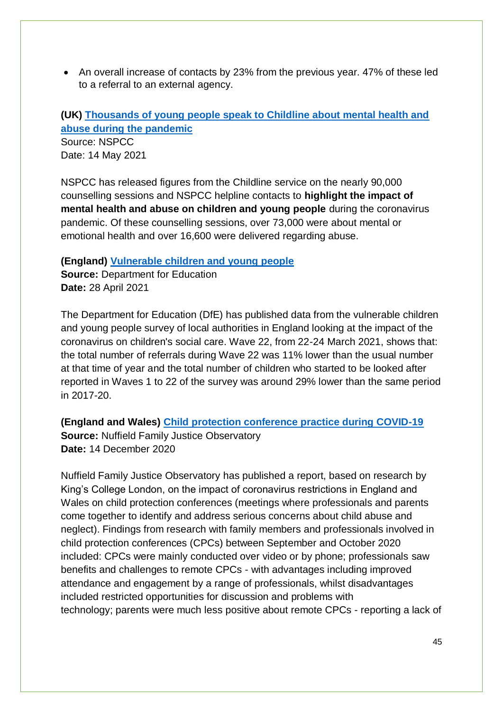• An overall increase of contacts by 23% from the previous year. 47% of these led to a referral to an external agency.

## **(UK) [Thousands of young people speak to Childline about mental health and](https://www.nspcc.org.uk/about-us/news-opinion/2021/children-counselling-sessions-covid-pandemic/)  [abuse during the pandemic](https://www.nspcc.org.uk/about-us/news-opinion/2021/children-counselling-sessions-covid-pandemic/)**

Source: NSPCC Date: 14 May 2021

NSPCC has released figures from the Childline service on the nearly 90,000 counselling sessions and NSPCC helpline contacts to **highlight the impact of mental health and abuse on children and young people** during the coronavirus pandemic. Of these counselling sessions, over 73,000 were about mental or emotional health and over 16,600 were delivered regarding abuse.

#### **(England) [Vulnerable children and young people](https://assets.publishing.service.gov.uk/government/uploads/system/uploads/attachment_data/file/980371/Vulnerable_children_and_young_people_survey_-_summary_to_returns_waves_1_to_22.pdf)**

**Source:** Department for Education **Date:** 28 April 2021

The Department for Education (DfE) has published data from the vulnerable children and young people survey of local authorities in England looking at the impact of the coronavirus on children's social care. Wave 22, from 22-24 March 2021, shows that: the total number of referrals during Wave 22 was 11% lower than the usual number at that time of year and the total number of children who started to be looked after reported in Waves 1 to 22 of the survey was around 29% lower than the same period in 2017-20.

**(England and Wales) [Child protection conference practice during COVID-19](https://www.nuffieldfjo.org.uk/resource/child-protection-conference-practice-covid-19) Source:** Nuffield Family Justice Observatory **Date:** 14 December 2020

Nuffield Family Justice Observatory has published a report, based on research by King's College London, on the impact of coronavirus restrictions in England and Wales on child protection conferences (meetings where professionals and parents come together to identify and address serious concerns about child abuse and neglect). Findings from research with family members and professionals involved in child protection conferences (CPCs) between September and October 2020 included: CPCs were mainly conducted over video or by phone; professionals saw benefits and challenges to remote CPCs - with advantages including improved attendance and engagement by a range of professionals, whilst disadvantages included restricted opportunities for discussion and problems with technology; parents were much less positive about remote CPCs - reporting a lack of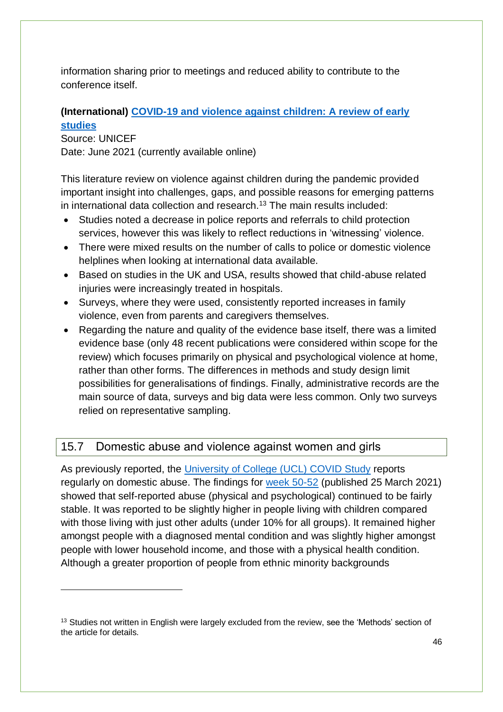information sharing prior to meetings and reduced ability to contribute to the conference itself.

#### **(International) [COVID-19 and violence against](https://doi.org/10.1016/j.chiabu.2021.105053) children: A review of early [studies](https://doi.org/10.1016/j.chiabu.2021.105053)**

Source: UNICEF Date: June 2021 (currently available online)

1

This literature review on violence against children during the pandemic provided important insight into challenges, gaps, and possible reasons for emerging patterns in international data collection and research.<sup>13</sup> The main results included:

- Studies noted a decrease in police reports and referrals to child protection services, however this was likely to reflect reductions in 'witnessing' violence.
- There were mixed results on the number of calls to police or domestic violence helplines when looking at international data available.
- Based on studies in the UK and USA, results showed that child-abuse related injuries were increasingly treated in hospitals.
- Surveys, where they were used, consistently reported increases in family violence, even from parents and caregivers themselves.
- Regarding the nature and quality of the evidence base itself, there was a limited evidence base (only 48 recent publications were considered within scope for the review) which focuses primarily on physical and psychological violence at home, rather than other forms. The differences in methods and study design limit possibilities for generalisations of findings. Finally, administrative records are the main source of data, surveys and big data were less common. Only two surveys relied on representative sampling.

## <span id="page-45-0"></span>15.7 Domestic abuse and violence against women and girls

As previously reported, the [University of College \(UCL\) COVID Study](https://www.covidsocialstudy.org/) reports regularly on domestic abuse. The findings for [week 50-52](https://b6bdcb03-332c-4ff9-8b9d-28f9c957493a.filesusr.com/ugd/3d9db5_c559cf48943940b196853ce33da1e8b2.pdf) (published 25 March 2021) showed that self-reported abuse (physical and psychological) continued to be fairly stable. It was reported to be slightly higher in people living with children compared with those living with just other adults (under 10% for all groups). It remained higher amongst people with a diagnosed mental condition and was slightly higher amongst people with lower household income, and those with a physical health condition. Although a greater proportion of people from ethnic minority backgrounds

<sup>&</sup>lt;sup>13</sup> Studies not written in English were largely excluded from the review, see the 'Methods' section of the article for details.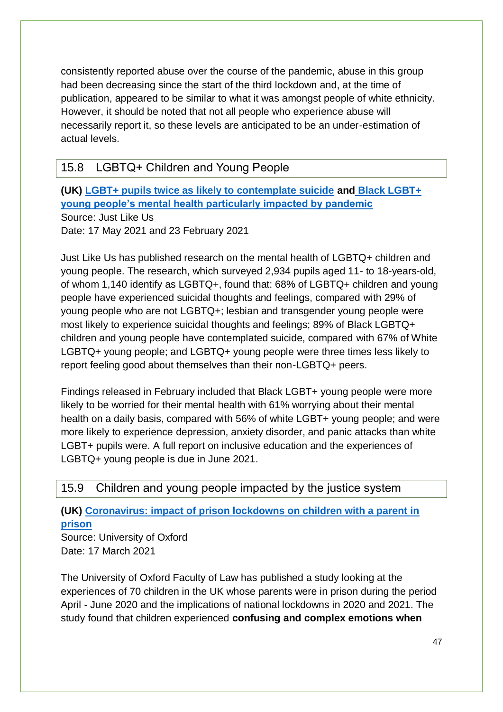consistently reported abuse over the course of the pandemic, abuse in this group had been decreasing since the start of the third lockdown and, at the time of publication, appeared to be similar to what it was amongst people of white ethnicity. However, it should be noted that not all people who experience abuse will necessarily report it, so these levels are anticipated to be an under-estimation of actual levels.

## <span id="page-46-0"></span>15.8 LGBTQ+ Children and Young People

**(UK) [LGBT+ pupils twice as likely to contemplate suicide](https://www.justlikeus.org/single-post/lgbt-pupils-twice-as-likely-to-contemplate-suicide) and [Black LGBT+](https://www.justlikeus.org/single-post/black-lgbt-young-people-s-mental-health-particularly-impacted-by-pandemic)  [young people's mental health particularly impacted by pandemic](https://www.justlikeus.org/single-post/black-lgbt-young-people-s-mental-health-particularly-impacted-by-pandemic)** Source: Just Like Us Date: 17 May 2021 and 23 February 2021

Just Like Us has published research on the mental health of LGBTQ+ children and young people. The research, which surveyed 2,934 pupils aged 11- to 18-years-old, of whom 1,140 identify as LGBTQ+, found that: 68% of LGBTQ+ children and young people have experienced suicidal thoughts and feelings, compared with 29% of young people who are not LGBTQ+; lesbian and transgender young people were most likely to experience suicidal thoughts and feelings; 89% of Black LGBTQ+ children and young people have contemplated suicide, compared with 67% of White LGBTQ+ young people; and LGBTQ+ young people were three times less likely to report feeling good about themselves than their non-LGBTQ+ peers.

Findings released in February included that Black LGBT+ young people were more likely to be worried for their mental health with 61% worrying about their mental health on a daily basis, compared with 56% of white LGBT+ young people; and were more likely to experience depression, anxiety disorder, and panic attacks than white LGBT+ pupils were. A full report on inclusive education and the experiences of LGBTQ+ young people is due in June 2021.

#### <span id="page-46-1"></span>15.9 Children and young people impacted by the justice system

**(UK) [Coronavirus: impact of prison lockdowns on children with a parent in](https://www.law.ox.ac.uk/sites/files/oxlaw/the_impact_of_covid-19_prison_lockdowns_on_children_with_a_parent_in_prison.pdf)  [prison](https://www.law.ox.ac.uk/sites/files/oxlaw/the_impact_of_covid-19_prison_lockdowns_on_children_with_a_parent_in_prison.pdf)**

Source: University of Oxford Date: 17 March 2021

The University of Oxford Faculty of Law has published a study looking at the experiences of 70 children in the UK whose parents were in prison during the period April - June 2020 and the implications of national lockdowns in 2020 and 2021. The study found that children experienced **confusing and complex emotions when**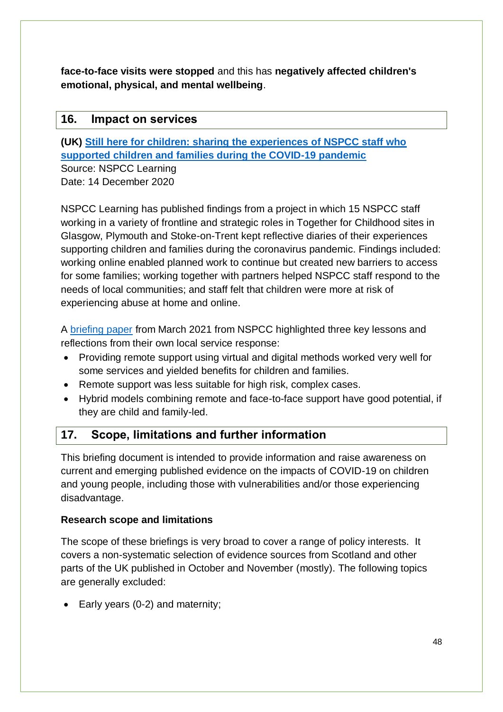**face-to-face visits were stopped** and this has **negatively affected children's emotional, physical, and mental wellbeing**.

### <span id="page-47-0"></span>**16. Impact on services**

**(UK) [Still here for children: sharing the experiences of NSPCC staff who](https://learning.nspcc.org.uk/research-resources/2020/still-here-for-children-experiences-of-nspcc-staff-during-coronavirus)  [supported children and families during the COVID-19](https://learning.nspcc.org.uk/research-resources/2020/still-here-for-children-experiences-of-nspcc-staff-during-coronavirus) pandemic**

Source: NSPCC Learning Date: 14 December 2020

NSPCC Learning has published findings from a project in which 15 NSPCC staff working in a variety of frontline and strategic roles in Together for Childhood sites in Glasgow, Plymouth and Stoke-on-Trent kept reflective diaries of their experiences supporting children and families during the coronavirus pandemic. Findings included: working online enabled planned work to continue but created new barriers to access for some families; working together with partners helped NSPCC staff respond to the needs of local communities; and staff felt that children were more at risk of experiencing abuse at home and online.

A [briefing paper](https://learning.nspcc.org.uk/research-resources/2021/delivering-local-direct-services-children-families-covid) from March 2021 from NSPCC highlighted three key lessons and reflections from their own local service response:

- Providing remote support using virtual and digital methods worked very well for some services and yielded benefits for children and families.
- Remote support was less suitable for high risk, complex cases.
- Hybrid models combining remote and face-to-face support have good potential, if they are child and family-led.

## <span id="page-47-1"></span>**17. Scope, limitations and further information**

This briefing document is intended to provide information and raise awareness on current and emerging published evidence on the impacts of COVID-19 on children and young people, including those with vulnerabilities and/or those experiencing disadvantage.

#### **Research scope and limitations**

The scope of these briefings is very broad to cover a range of policy interests. It covers a non-systematic selection of evidence sources from Scotland and other parts of the UK published in October and November (mostly). The following topics are generally excluded:

• Early years (0-2) and maternity;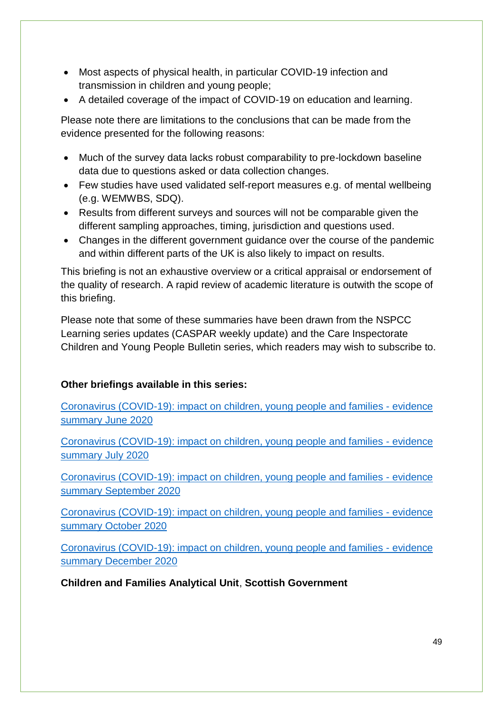- Most aspects of physical health, in particular COVID-19 infection and transmission in children and young people;
- A detailed coverage of the impact of COVID-19 on education and learning.

Please note there are limitations to the conclusions that can be made from the evidence presented for the following reasons:

- Much of the survey data lacks robust comparability to pre-lockdown baseline data due to questions asked or data collection changes.
- Few studies have used validated self-report measures e.g. of mental wellbeing (e.g. WEMWBS, SDQ).
- Results from different surveys and sources will not be comparable given the different sampling approaches, timing, jurisdiction and questions used.
- Changes in the different government guidance over the course of the pandemic and within different parts of the UK is also likely to impact on results.

This briefing is not an exhaustive overview or a critical appraisal or endorsement of the quality of research. A rapid review of academic literature is outwith the scope of this briefing.

Please note that some of these summaries have been drawn from the NSPCC Learning series updates (CASPAR weekly update) and the Care Inspectorate Children and Young People Bulletin series, which readers may wish to subscribe to.

#### **Other briefings available in this series:**

[Coronavirus \(COVID-19\): impact on children, young people and families -](https://www.gov.scot/publications/report-covid-19-children-young-people-families-june-2020-evidence-summary/) evidence [summary June 2020](https://www.gov.scot/publications/report-covid-19-children-young-people-families-june-2020-evidence-summary/)

[Coronavirus \(COVID-19\): impact on children, young people and families -](https://www.gov.scot/publications/report-covid-19-children-young-people-families-july-2020-evidence-summary/) evidence [summary July 2020](https://www.gov.scot/publications/report-covid-19-children-young-people-families-july-2020-evidence-summary/)

[Coronavirus \(COVID-19\): impact on children, young people and families -](https://www.gov.scot/publications/report-covid-19-children-young-people-families-september-2020-evidence-summary/) evidence [summary September](https://www.gov.scot/publications/report-covid-19-children-young-people-families-september-2020-evidence-summary/) 2020

[Coronavirus \(COVID-19\): impact on children, young people and families -](https://www.gov.scot/publications/report-covid-19-children-young-people-families-october-2020-evidence-summary/) evidence [summary October 2020](https://www.gov.scot/publications/report-covid-19-children-young-people-families-october-2020-evidence-summary/)

[Coronavirus \(COVID-19\): impact on children, young people and families -](https://www.gov.scot/publications/covid-19-children-young-people-families-december-2020-evidence-summary/) evidence [summary December 2020](https://www.gov.scot/publications/covid-19-children-young-people-families-december-2020-evidence-summary/)

**Children and Families Analytical Unit**, **Scottish Government**